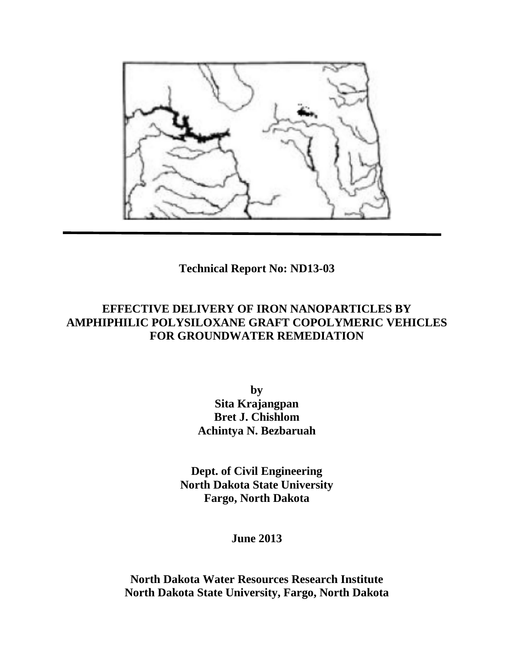

**Technical Report No: ND13-03**

# **EFFECTIVE DELIVERY OF IRON NANOPARTICLES BY AMPHIPHILIC POLYSILOXANE GRAFT COPOLYMERIC VEHICLES FOR GROUNDWATER REMEDIATION**

**by Sita Krajangpan Bret J. Chishlom Achintya N. Bezbaruah**

**Dept. of Civil Engineering North Dakota State University Fargo, North Dakota**

**June 2013**

**North Dakota Water Resources Research Institute North Dakota State University, Fargo, North Dakota**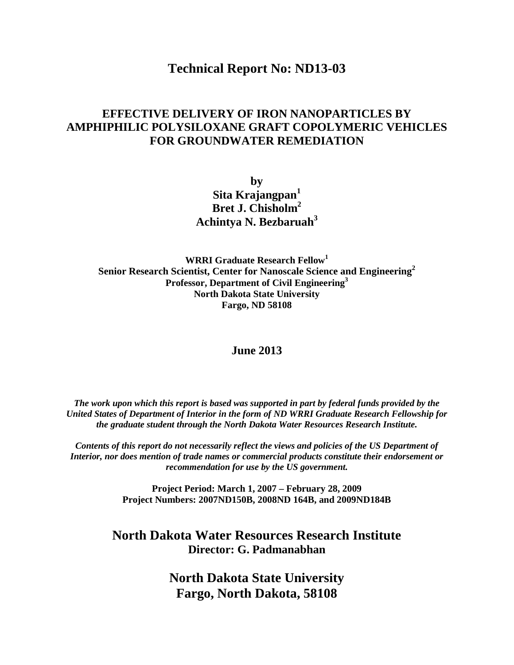# **Technical Report No: ND13-03**

# **EFFECTIVE DELIVERY OF IRON NANOPARTICLES BY AMPHIPHILIC POLYSILOXANE GRAFT COPOLYMERIC VEHICLES FOR GROUNDWATER REMEDIATION**

**by Sita Krajangpan<sup>1</sup> Bret J. Chisholm2 Achintya N. Bezbaruah3**

**WRRI Graduate Research Fellow<sup>1</sup> Senior Research Scientist, Center for Nanoscale Science and Engineering2 Professor, Department of Civil Engineering<sup>3</sup> North Dakota State University Fargo, ND 58108**

# **June 2013**

*The work upon which this report is based was supported in part by federal funds provided by the United States of Department of Interior in the form of ND WRRI Graduate Research Fellowship for the graduate student through the North Dakota Water Resources Research Institute.*

*Contents of this report do not necessarily reflect the views and policies of the US Department of Interior, nor does mention of trade names or commercial products constitute their endorsement or recommendation for use by the US government.*

> **Project Period: March 1, 2007 – February 28, 2009 Project Numbers: 2007ND150B, 2008ND 164B, and 2009ND184B**

**North Dakota Water Resources Research Institute Director: G. Padmanabhan**

> **North Dakota State University Fargo, North Dakota, 58108**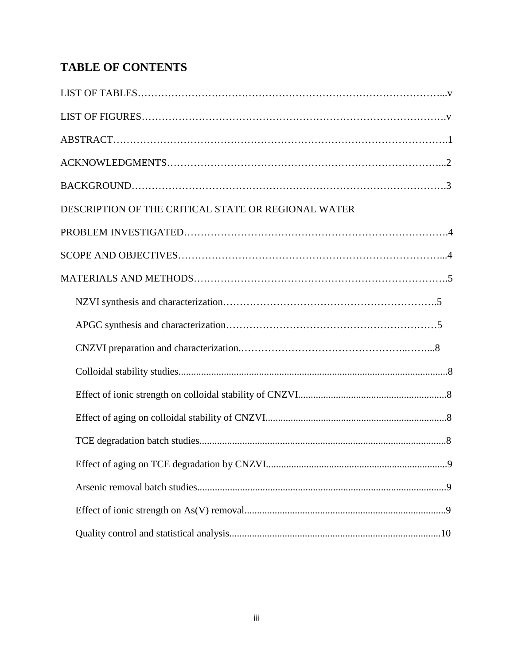# **TABLE OF CONTENTS**

| DESCRIPTION OF THE CRITICAL STATE OR REGIONAL WATER |
|-----------------------------------------------------|
|                                                     |
|                                                     |
|                                                     |
|                                                     |
|                                                     |
|                                                     |
|                                                     |
|                                                     |
|                                                     |
|                                                     |
|                                                     |
|                                                     |
|                                                     |
|                                                     |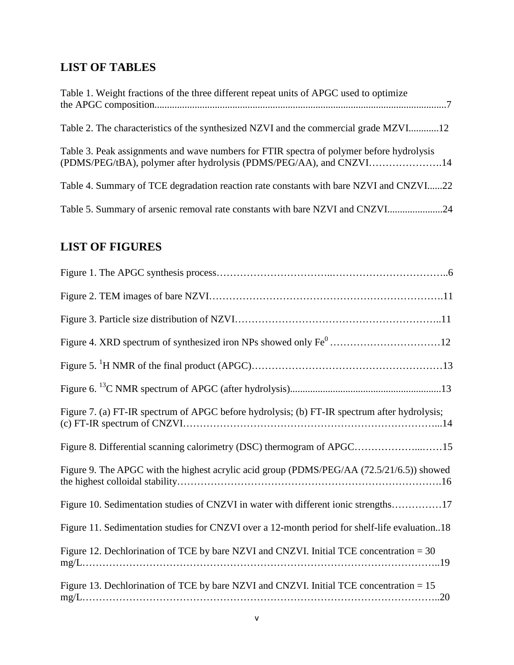# **LIST OF TABLES**

| Table 1. Weight fractions of the three different repeat units of APGC used to optimize                                                                          |
|-----------------------------------------------------------------------------------------------------------------------------------------------------------------|
| Table 2. The characteristics of the synthesized NZVI and the commercial grade MZVI12                                                                            |
| Table 3. Peak assignments and wave numbers for FTIR spectra of polymer before hydrolysis<br>(PDMS/PEG/tBA), polymer after hydrolysis (PDMS/PEG/AA), and CNZVI14 |
| Table 4. Summary of TCE degradation reaction rate constants with bare NZVI and CNZVI22                                                                          |
| Table 5. Summary of arsenic removal rate constants with bare NZVI and CNZVI24                                                                                   |

# **LIST OF FIGURES**

| Figure 7. (a) FT-IR spectrum of APGC before hydrolysis; (b) FT-IR spectrum after hydrolysis;  |
|-----------------------------------------------------------------------------------------------|
| Figure 8. Differential scanning calorimetry (DSC) thermogram of APGC15                        |
| Figure 9. The APGC with the highest acrylic acid group (PDMS/PEG/AA (72.5/21/6.5)) showed     |
| Figure 10. Sedimentation studies of CNZVI in water with different ionic strengths17           |
| Figure 11. Sedimentation studies for CNZVI over a 12-month period for shelf-life evaluation18 |
| Figure 12. Dechlorination of TCE by bare NZVI and CNZVI. Initial TCE concentration = 30       |
| Figure 13. Dechlorination of TCE by bare NZVI and CNZVI. Initial TCE concentration = 15       |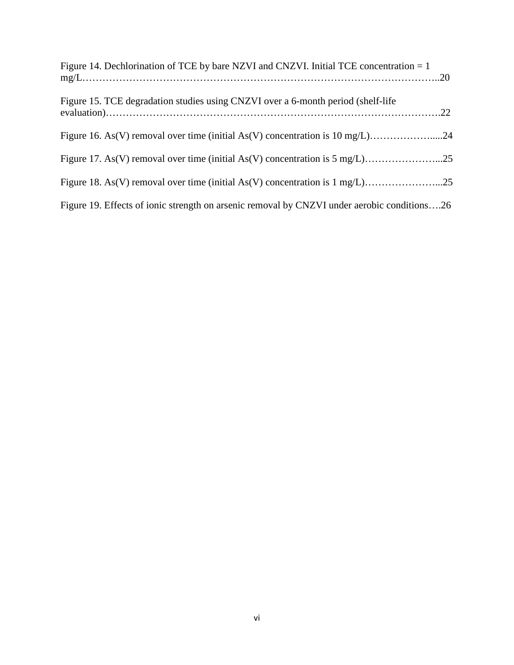| Figure 14. Dechlorination of TCE by bare NZVI and CNZVI. Initial TCE concentration $= 1$    |  |
|---------------------------------------------------------------------------------------------|--|
| Figure 15. TCE degradation studies using CNZVI over a 6-month period (shelf-life            |  |
|                                                                                             |  |
|                                                                                             |  |
|                                                                                             |  |
| Figure 19. Effects of ionic strength on arsenic removal by CNZVI under aerobic conditions26 |  |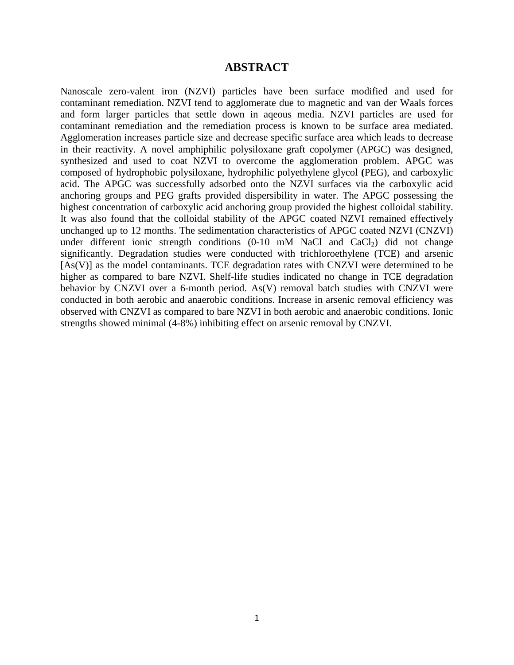# **ABSTRACT**

Nanoscale zero-valent iron (NZVI) particles have been surface modified and used for contaminant remediation. NZVI tend to agglomerate due to magnetic and van der Waals forces and form larger particles that settle down in aqeous media. NZVI particles are used for contaminant remediation and the remediation process is known to be surface area mediated. Agglomeration increases particle size and decrease specific surface area which leads to decrease in their reactivity. A novel amphiphilic polysiloxane graft copolymer (APGC) was designed, synthesized and used to coat NZVI to overcome the agglomeration problem. APGC was composed of hydrophobic polysiloxane, hydrophilic polyethylene glycol **(**PEG), and carboxylic acid. The APGC was successfully adsorbed onto the NZVI surfaces via the carboxylic acid anchoring groups and PEG grafts provided dispersibility in water. The APGC possessing the highest concentration of carboxylic acid anchoring group provided the highest colloidal stability. It was also found that the colloidal stability of the APGC coated NZVI remained effectively unchanged up to 12 months. The sedimentation characteristics of APGC coated NZVI (CNZVI) under different ionic strength conditions  $(0-10 \text{ mM } NaCl$  and  $CaCl<sub>2</sub>$ ) did not change significantly. Degradation studies were conducted with trichloroethylene (TCE) and arsenic [As(V)] as the model contaminants. TCE degradation rates with CNZVI were determined to be higher as compared to bare NZVI. Shelf-life studies indicated no change in TCE degradation behavior by CNZVI over a 6-month period. As(V) removal batch studies with CNZVI were conducted in both aerobic and anaerobic conditions. Increase in arsenic removal efficiency was observed with CNZVI as compared to bare NZVI in both aerobic and anaerobic conditions. Ionic strengths showed minimal (4-8%) inhibiting effect on arsenic removal by CNZVI.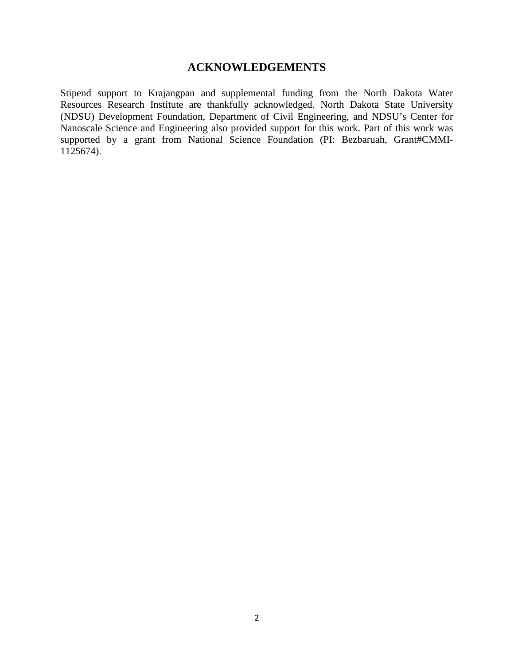# **ACKNOWLEDGEMENTS**

Stipend support to Krajangpan and supplemental funding from the North Dakota Water Resources Research Institute are thankfully acknowledged. North Dakota State University (NDSU) Development Foundation, Department of Civil Engineering, and NDSU's Center for Nanoscale Science and Engineering also provided support for this work. Part of this work was supported by a grant from National Science Foundation (PI: Bezbaruah, Grant#CMMI-1125674).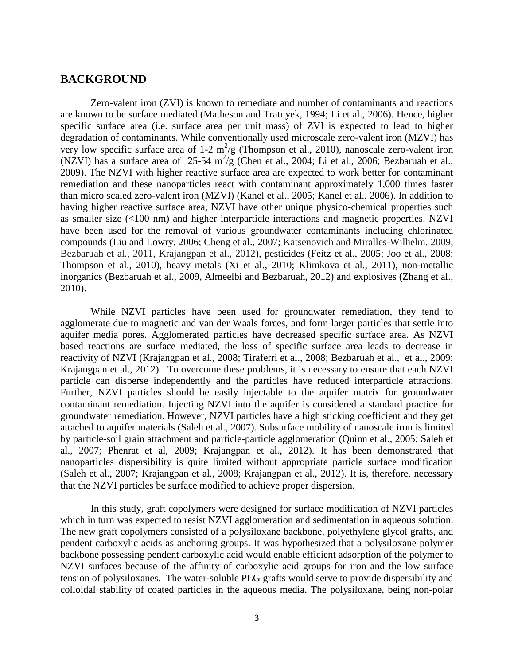# **BACKGROUND**

Zero-valent iron (ZVI) is known to remediate and number of contaminants and reactions are known to be surface mediated (Matheson and Tratnyek, 1994; Li et al., 2006). Hence, higher specific surface area (i.e. surface area per unit mass) of ZVI is expected to lead to higher degradation of contaminants. While conventionally used microscale zero-valent iron (MZVI) has very low specific surface area of  $1-2 \text{ m}^2/\text{g}$  (Thompson et al., 2010), nanoscale zero-valent iron (NZVI) has a surface area of  $25-54 \text{ m}^2/\text{g}$  (Chen et al., 2004; Li et al., 2006; Bezbaruah et al., 2009). The NZVI with higher reactive surface area are expected to work better for contaminant remediation and these nanoparticles react with contaminant approximately 1,000 times faster than micro scaled zero-valent iron (MZVI) (Kanel et al., 2005; Kanel et al., 2006). In addition to having higher reactive surface area, NZVI have other unique physico-chemical properties such as smaller size (<100 nm) and higher interparticle interactions and magnetic properties. NZVI have been used for the removal of various groundwater contaminants including chlorinated compounds (Liu and Lowry, 2006; Cheng et al., 2007; Katsenovich and Miralles-Wilhelm, 2009, Bezbaruah et al., 2011, Krajangpan et al., 2012), pesticides (Feitz et al., 2005; Joo et al., 2008; Thompson et al., 2010), heavy metals (Xi et al., 2010; Klimkova et al., 2011), non-metallic inorganics (Bezbaruah et al., 2009, Almeelbi and Bezbaruah, 2012) and explosives (Zhang et al., 2010).

While NZVI particles have been used for groundwater remediation, they tend to agglomerate due to magnetic and van der Waals forces, and form larger particles that settle into aquifer media pores. Agglomerated particles have decreased specific surface area. As NZVI based reactions are surface mediated, the loss of specific surface area leads to decrease in reactivity of NZVI (Krajangpan et al., 2008; Tiraferri et al., 2008; Bezbaruah et al., et al., 2009; Krajangpan et al., 2012). To overcome these problems, it is necessary to ensure that each NZVI particle can disperse independently and the particles have reduced interparticle attractions. Further, NZVI particles should be easily injectable to the aquifer matrix for groundwater contaminant remediation. Injecting NZVI into the aquifer is considered a standard practice for groundwater remediation. However, NZVI particles have a high sticking coefficient and they get attached to aquifer materials (Saleh et al., 2007). Subsurface mobility of nanoscale iron is limited by particle-soil grain attachment and particle-particle agglomeration (Quinn et al., 2005; Saleh et al., 2007; Phenrat et al, 2009; Krajangpan et al., 2012). It has been demonstrated that nanoparticles dispersibility is quite limited without appropriate particle surface modification (Saleh et al., 2007; Krajangpan et al., 2008; Krajangpan et al., 2012). It is, therefore, necessary that the NZVI particles be surface modified to achieve proper dispersion.

In this study, graft copolymers were designed for surface modification of NZVI particles which in turn was expected to resist NZVI agglomeration and sedimentation in aqueous solution. The new graft copolymers consisted of a polysiloxane backbone, polyethylene glycol grafts, and pendent carboxylic acids as anchoring groups. It was hypothesized that a polysiloxane polymer backbone possessing pendent carboxylic acid would enable efficient adsorption of the polymer to NZVI surfaces because of the affinity of carboxylic acid groups for iron and the low surface tension of polysiloxanes. The water-soluble PEG grafts would serve to provide dispersibility and colloidal stability of coated particles in the aqueous media. The polysiloxane, being non-polar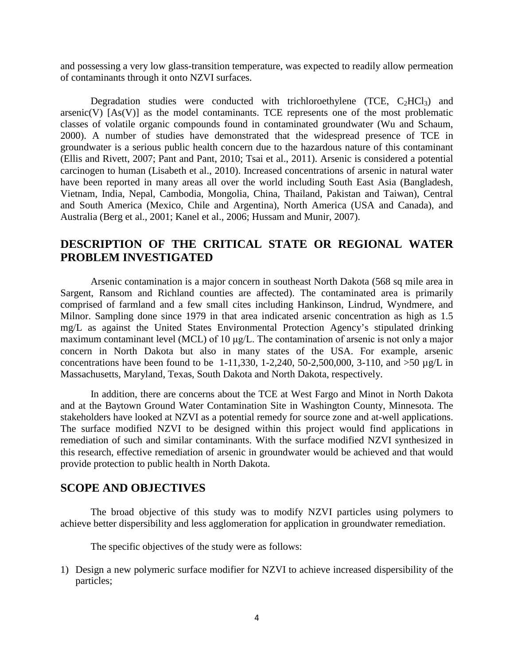and possessing a very low glass-transition temperature, was expected to readily allow permeation of contaminants through it onto NZVI surfaces.

Degradation studies were conducted with trichloroethylene (TCE,  $C_2HCI_3$ ) and  $arsenic(V)$   $[As(V)]$  as the model contaminants. TCE represents one of the most problematic classes of volatile organic compounds found in contaminated groundwater (Wu and Schaum, 2000). A number of studies have demonstrated that the widespread presence of TCE in groundwater is a serious public health concern due to the hazardous nature of this contaminant (Ellis and Rivett, 2007; Pant and Pant, 2010; Tsai et al., 2011). Arsenic is considered a potential carcinogen to human (Lisabeth et al., 2010). Increased concentrations of arsenic in natural water have been reported in many areas all over the world including South East Asia (Bangladesh, Vietnam, India, Nepal, Cambodia, Mongolia, China, Thailand, Pakistan and Taiwan), Central and South America (Mexico, Chile and Argentina), North America (USA and Canada), and Australia (Berg et al., 2001; Kanel et al., 2006; Hussam and Munir, 2007).

# **DESCRIPTION OF THE CRITICAL STATE OR REGIONAL WATER PROBLEM INVESTIGATED**

Arsenic contamination is a major concern in southeast North Dakota (568 sq mile area in Sargent, Ransom and Richland counties are affected). The contaminated area is primarily comprised of farmland and a few small cites including Hankinson, Lindrud, Wyndmere, and Milnor. Sampling done since 1979 in that area indicated arsenic concentration as high as 1.5 mg/L as against the United States Environmental Protection Agency's stipulated drinking maximum contaminant level (MCL) of 10 μg/L. The contamination of arsenic is not only a major concern in North Dakota but also in many states of the USA. For example, arsenic concentrations have been found to be 1-11,330, 1-2,240, 50-2,500,000, 3-110, and  $>50 \mu g/L$  in Massachusetts, Maryland, Texas, South Dakota and North Dakota, respectively.

In addition, there are concerns about the TCE at West Fargo and Minot in North Dakota and at the Baytown Ground Water Contamination Site in Washington County, Minnesota. The stakeholders have looked at NZVI as a potential remedy for source zone and at-well applications. The surface modified NZVI to be designed within this project would find applications in remediation of such and similar contaminants. With the surface modified NZVI synthesized in this research, effective remediation of arsenic in groundwater would be achieved and that would provide protection to public health in North Dakota.

# **SCOPE AND OBJECTIVES**

The broad objective of this study was to modify NZVI particles using polymers to achieve better dispersibility and less agglomeration for application in groundwater remediation.

The specific objectives of the study were as follows:

1) Design a new polymeric surface modifier for NZVI to achieve increased dispersibility of the particles;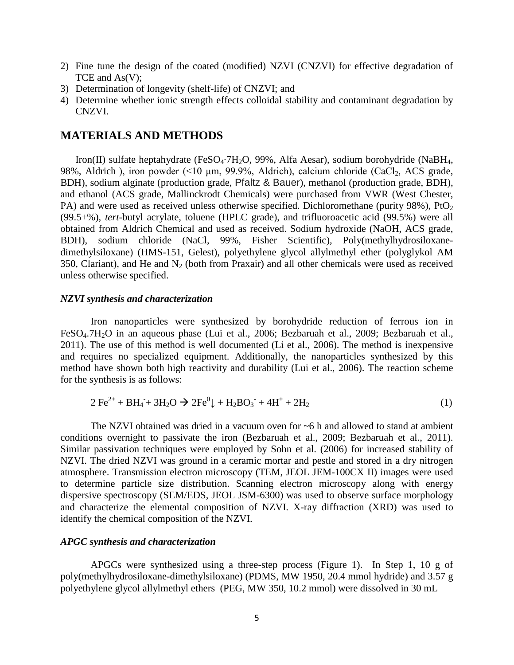- 2) Fine tune the design of the coated (modified) NZVI (CNZVI) for effective degradation of TCE and As(V);
- 3) Determination of longevity (shelf-life) of CNZVI; and
- 4) Determine whether ionic strength effects colloidal stability and contaminant degradation by CNZVI.

# **MATERIALS AND METHODS**

Iron(II) sulfate heptahydrate (FeSO4∙7H2O, 99%, Alfa Aesar), sodium borohydride (NaBH4, 98%, Aldrich), iron powder  $(510 \text{ µm}, 99.9\%$ , Aldrich), calcium chloride  $(CaCl<sub>2</sub>, ACS grade,$ BDH), sodium alginate (production grade, Pfaltz & Bauer), methanol (production grade, BDH), and ethanol (ACS grade, Mallinckrodt Chemicals) were purchased from VWR (West Chester, PA) and were used as received unless otherwise specified. Dichloromethane (purity  $98\%$ ), PtO<sub>2</sub> (99.5+%), *tert*-butyl acrylate, toluene (HPLC grade), and trifluoroacetic acid (99.5%) were all obtained from Aldrich Chemical and used as received. Sodium hydroxide (NaOH, ACS grade, BDH), sodium chloride (NaCl, 99%, Fisher Scientific), Poly(methylhydrosiloxanedimethylsiloxane) (HMS-151, Gelest), polyethylene glycol allylmethyl ether (polyglykol AM 350, Clariant), and He and  $N_2$  (both from Praxair) and all other chemicals were used as received unless otherwise specified.

#### *NZVI synthesis and characterization*

Iron nanoparticles were synthesized by borohydride reduction of ferrous ion in FeSO<sub>4</sub>.7H<sub>2</sub>O in an aqueous phase (Lui et al., 2006; Bezbaruah et al., 2009; Bezbaruah et al., 2011). The use of this method is well documented (Li et al., 2006). The method is inexpensive and requires no specialized equipment. Additionally, the nanoparticles synthesized by this method have shown both high reactivity and durability (Lui et al., 2006). The reaction scheme for the synthesis is as follows:

$$
2\ \text{Fe}^{2+} + \text{BH}_4 + 3\text{H}_2\text{O} \rightarrow 2\text{Fe}^0\downarrow + \text{H}_2\text{BO}_3 + 4\text{H}^+ + 2\text{H}_2\tag{1}
$$

The NZVI obtained was dried in a vacuum oven for  $\sim$  6 h and allowed to stand at ambient conditions overnight to passivate the iron (Bezbaruah et al., 2009; Bezbaruah et al., 2011). Similar passivation techniques were employed by Sohn et al. (2006) for increased stability of NZVI. The dried NZVI was ground in a ceramic mortar and pestle and stored in a dry nitrogen atmosphere. Transmission electron microscopy (TEM, JEOL JEM-100CX II) images were used to determine particle size distribution. Scanning electron microscopy along with energy dispersive spectroscopy (SEM/EDS, JEOL JSM-6300) was used to observe surface morphology and characterize the elemental composition of NZVI. X-ray diffraction (XRD) was used to identify the chemical composition of the NZVI.

# *APGC synthesis and characterization*

APGCs were synthesized using a three-step process (Figure 1). In Step 1, 10 g of poly(methylhydrosiloxane-dimethylsiloxane) (PDMS, MW 1950, 20.4 mmol hydride) and 3.57 g polyethylene glycol allylmethyl ethers (PEG, MW 350, 10.2 mmol) were dissolved in 30 mL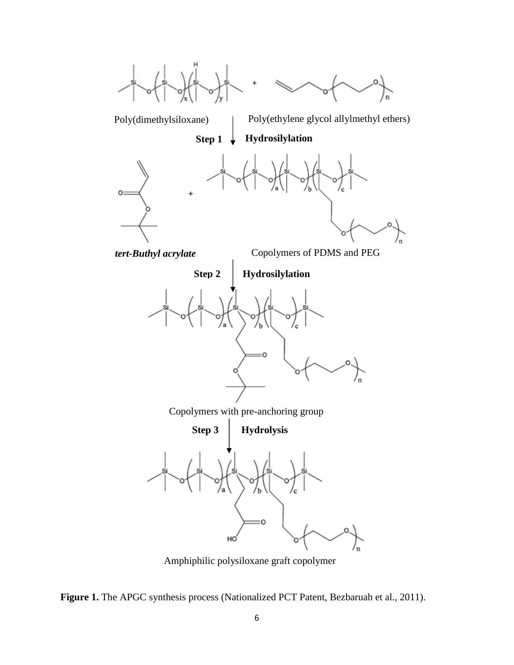

Amphiphilic polysiloxane graft copolymer

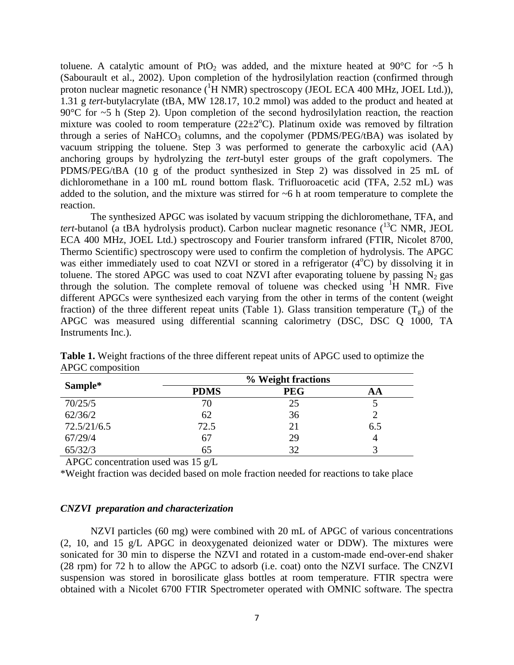toluene. A catalytic amount of PtO<sub>2</sub> was added, and the mixture heated at 90°C for  $\sim$ 5 h (Sabourault et al., 2002). Upon completion of the hydrosilylation reaction (confirmed through proton nuclear magnetic resonance (<sup>1</sup>H NMR) spectroscopy (JEOL ECA 400 MHz, JOEL Ltd.)), 1.31 g *tert*-butylacrylate (tBA, MW 128.17, 10.2 mmol) was added to the product and heated at 90 $\degree$ C for  $\sim$ 5 h (Step 2). Upon completion of the second hydrosilylation reaction, the reaction mixture was cooled to room temperature  $(22 \pm 2^{\circ}C)$ . Platinum oxide was removed by filtration through a series of NaHCO<sub>3</sub> columns, and the copolymer (PDMS/PEG/ $tBA$ ) was isolated by vacuum stripping the toluene. Step 3 was performed to generate the carboxylic acid (AA) anchoring groups by hydrolyzing the *tert*-butyl ester groups of the graft copolymers. The PDMS/PEG/tBA (10 g of the product synthesized in Step 2) was dissolved in 25 mL of dichloromethane in a 100 mL round bottom flask. Trifluoroacetic acid (TFA, 2.52 mL) was added to the solution, and the mixture was stirred for ~6 h at room temperature to complete the reaction.

The synthesized APGC was isolated by vacuum stripping the dichloromethane, TFA, and *tert*-butanol (a tBA hydrolysis product). Carbon nuclear magnetic resonance  $(^{13}C$  NMR, JEOL ECA 400 MHz, JOEL Ltd.) spectroscopy and Fourier transform infrared (FTIR, Nicolet 8700, Thermo Scientific) spectroscopy were used to confirm the completion of hydrolysis. The APGC was either immediately used to coat NZVI or stored in a refrigerator (4°C) by dissolving it in toluene. The stored APGC was used to coat NZVI after evaporating toluene by passing  $N_2$  gas through the solution. The complete removal of toluene was checked using  ${}^{1}H$  NMR. Five different APGCs were synthesized each varying from the other in terms of the content (weight fraction) of the three different repeat units (Table 1). Glass transition temperature  $(T<sub>g</sub>)$  of the APGC was measured using differential scanning calorimetry (DSC, DSC Q 1000, TA Instruments Inc.).

|             |             | % Weight fractions |     |
|-------------|-------------|--------------------|-----|
| Sample*     | <b>PDMS</b> | <b>PEG</b>         | AΑ  |
| 70/25/5     | 70          | 25                 |     |
| 62/36/2     | 62          | 36                 |     |
| 72.5/21/6.5 | 72.5        | 21                 | 6.5 |
| 67/29/4     | 67          | 29                 |     |
| 65/32/3     | 65          | 32                 |     |

**Table 1.** Weight fractions of the three different repeat units of APGC used to optimize the APGC composition

APGC concentration used was 15 g/L

\*Weight fraction was decided based on mole fraction needed for reactions to take place

## *CNZVI preparation and characterization*

NZVI particles (60 mg) were combined with 20 mL of APGC of various concentrations (2, 10, and 15 g/L APGC in deoxygenated deionized water or DDW). The mixtures were sonicated for 30 min to disperse the NZVI and rotated in a custom-made end-over-end shaker (28 rpm) for 72 h to allow the APGC to adsorb (i.e. coat) onto the NZVI surface. The CNZVI suspension was stored in borosilicate glass bottles at room temperature. FTIR spectra were obtained with a Nicolet 6700 FTIR Spectrometer operated with OMNIC software. The spectra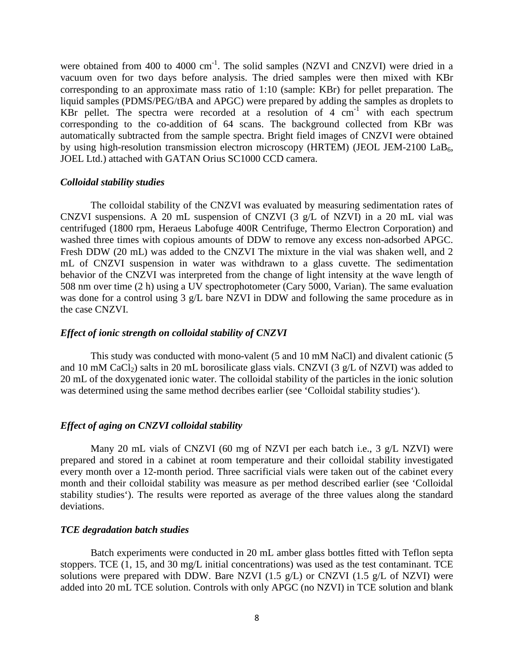were obtained from 400 to 4000  $cm^{-1}$ . The solid samples (NZVI and CNZVI) were dried in a vacuum oven for two days before analysis. The dried samples were then mixed with KBr corresponding to an approximate mass ratio of 1:10 (sample: KBr) for pellet preparation. The liquid samples (PDMS/PEG/tBA and APGC) were prepared by adding the samples as droplets to KBr pellet. The spectra were recorded at a resolution of 4  $cm^{-1}$  with each spectrum corresponding to the co-addition of 64 scans. The background collected from KBr was automatically subtracted from the sample spectra. Bright field images of CNZVI were obtained by using high-resolution transmission electron microscopy (HRTEM) (JEOL JEM-2100  $LaB<sub>6</sub>$ , JOEL Ltd.) attached with GATAN Orius SC1000 CCD camera.

### *Colloidal stability studies*

The colloidal stability of the CNZVI was evaluated by measuring sedimentation rates of CNZVI suspensions. A 20 mL suspension of CNZVI (3 g/L of NZVI) in a 20 mL vial was centrifuged (1800 rpm, Heraeus Labofuge 400R Centrifuge, Thermo Electron Corporation) and washed three times with copious amounts of DDW to remove any excess non-adsorbed APGC. Fresh DDW (20 mL) was added to the CNZVI The mixture in the vial was shaken well, and 2 mL of CNZVI suspension in water was withdrawn to a glass cuvette. The sedimentation behavior of the CNZVI was interpreted from the change of light intensity at the wave length of 508 nm over time (2 h) using a UV spectrophotometer (Cary 5000, Varian). The same evaluation was done for a control using 3 g/L bare NZVI in DDW and following the same procedure as in the case CNZVI.

### *Effect of ionic strength on colloidal stability of CNZVI*

This study was conducted with mono-valent (5 and 10 mM NaCl) and divalent cationic (5 and 10 mM CaCl<sub>2</sub>) salts in 20 mL borosilicate glass vials. CNZVI (3 g/L of NZVI) was added to 20 mL of the doxygenated ionic water. The colloidal stability of the particles in the ionic solution was determined using the same method decribes earlier (see 'Colloidal stability studies').

#### *Effect of aging on CNZVI colloidal stability*

Many 20 mL vials of CNZVI (60 mg of NZVI per each batch i.e., 3 g/L NZVI) were prepared and stored in a cabinet at room temperature and their colloidal stability investigated every month over a 12-month period. Three sacrificial vials were taken out of the cabinet every month and their colloidal stability was measure as per method described earlier (see 'Colloidal stability studies'). The results were reported as average of the three values along the standard deviations.

#### *TCE degradation batch studies*

Batch experiments were conducted in 20 mL amber glass bottles fitted with Teflon septa stoppers. TCE (1, 15, and 30 mg/L initial concentrations) was used as the test contaminant. TCE solutions were prepared with DDW. Bare NZVI (1.5  $g/L$ ) or CNZVI (1.5  $g/L$  of NZVI) were added into 20 mL TCE solution. Controls with only APGC (no NZVI) in TCE solution and blank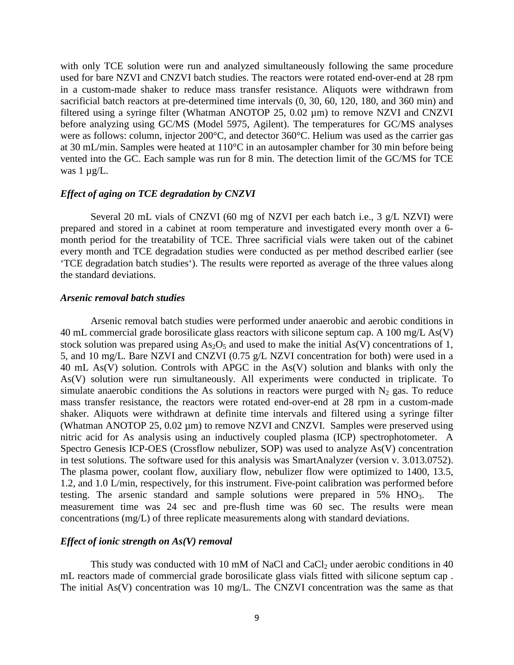with only TCE solution were run and analyzed simultaneously following the same procedure used for bare NZVI and CNZVI batch studies. The reactors were rotated end-over-end at 28 rpm in a custom-made shaker to reduce mass transfer resistance. Aliquots were withdrawn from sacrificial batch reactors at pre-determined time intervals (0, 30, 60, 120, 180, and 360 min) and filtered using a syringe filter (Whatman ANOTOP 25, 0.02 µm) to remove NZVI and CNZVI before analyzing using GC/MS (Model 5975, Agilent). The temperatures for GC/MS analyses were as follows: column, injector 200°C, and detector 360°C. Helium was used as the carrier gas at 30 mL/min. Samples were heated at 110°C in an autosampler chamber for 30 min before being vented into the GC. Each sample was run for 8 min. The detection limit of the GC/MS for TCE was  $1 \mu g/L$ .

# *Effect of aging on TCE degradation by CNZVI*

Several 20 mL vials of CNZVI (60 mg of NZVI per each batch i.e., 3 g/L NZVI) were prepared and stored in a cabinet at room temperature and investigated every month over a 6 month period for the treatability of TCE. Three sacrificial vials were taken out of the cabinet every month and TCE degradation studies were conducted as per method described earlier (see 'TCE degradation batch studies'). The results were reported as average of the three values along the standard deviations.

#### *Arsenic removal batch studies*

Arsenic removal batch studies were performed under anaerobic and aerobic conditions in 40 mL commercial grade borosilicate glass reactors with silicone septum cap. A 100 mg/L As(V) stock solution was prepared using  $As<sub>2</sub>O<sub>5</sub>$  and used to make the initial As(V) concentrations of 1, 5, and 10 mg/L. Bare NZVI and CNZVI (0.75 g/L NZVI concentration for both) were used in a 40 mL As(V) solution. Controls with APGC in the As(V) solution and blanks with only the As(V) solution were run simultaneously. All experiments were conducted in triplicate. To simulate anaerobic conditions the As solutions in reactors were purged with  $N_2$  gas. To reduce mass transfer resistance, the reactors were rotated end-over-end at 28 rpm in a custom-made shaker. Aliquots were withdrawn at definite time intervals and filtered using a syringe filter (Whatman ANOTOP 25, 0.02 µm) to remove NZVI and CNZVI. Samples were preserved using nitric acid for As analysis using an inductively coupled plasma (ICP) spectrophotometer. A Spectro Genesis ICP-OES (Crossflow nebulizer, SOP) was used to analyze As(V) concentration in test solutions. The software used for this analysis was SmartAnalyzer (version v. 3.013.0752). The plasma power, coolant flow, auxiliary flow, nebulizer flow were optimized to 1400, 13.5, 1.2, and 1.0 L/min, respectively, for this instrument. Five-point calibration was performed before testing. The arsenic standard and sample solutions were prepared in  $5\%$  HNO<sub>3</sub>. The measurement time was 24 sec and pre-flush time was 60 sec. The results were mean concentrations (mg/L) of three replicate measurements along with standard deviations.

### *Effect of ionic strength on As(V) removal*

This study was conducted with 10 mM of NaCl and CaCl<sub>2</sub> under aerobic conditions in 40 mL reactors made of commercial grade borosilicate glass vials fitted with silicone septum cap . The initial As(V) concentration was 10 mg/L. The CNZVI concentration was the same as that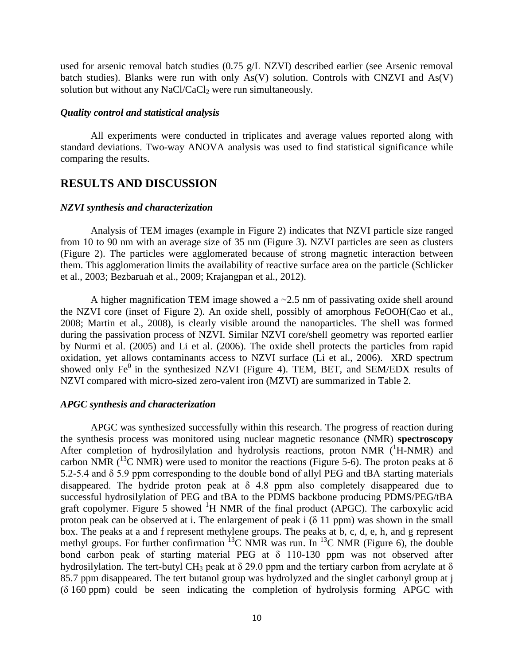used for arsenic removal batch studies (0.75 g/L NZVI) described earlier (see Arsenic removal batch studies). Blanks were run with only  $As(V)$  solution. Controls with CNZVI and  $As(V)$ solution but without any NaCl/CaCl<sub>2</sub> were run simultaneously.

## *Quality control and statistical analysis*

All experiments were conducted in triplicates and average values reported along with standard deviations. Two-way ANOVA analysis was used to find statistical significance while comparing the results.

# **RESULTS AND DISCUSSION**

## *NZVI synthesis and characterization*

Analysis of TEM images (example in Figure 2) indicates that NZVI particle size ranged from 10 to 90 nm with an average size of 35 nm (Figure 3). NZVI particles are seen as clusters (Figure 2). The particles were agglomerated because of strong magnetic interaction between them. This agglomeration limits the availability of reactive surface area on the particle (Schlicker et al., 2003; Bezbaruah et al., 2009; Krajangpan et al., 2012).

A higher magnification TEM image showed a ~2.5 nm of passivating oxide shell around the NZVI core (inset of Figure 2). An oxide shell, possibly of amorphous FeOOH(Cao et al., 2008; Martin et al., 2008), is clearly visible around the nanoparticles. The shell was formed during the passivation process of NZVI. Similar NZVI core/shell geometry was reported earlier by Nurmi et al. (2005) and Li et al. (2006). The oxide shell protects the particles from rapid oxidation, yet allows contaminants access to NZVI surface (Li et al., 2006). XRD spectrum showed only  $Fe<sup>0</sup>$  in the synthesized NZVI (Figure 4). TEM, BET, and SEM/EDX results of NZVI compared with micro-sized zero-valent iron (MZVI) are summarized in Table 2.

## *APGC synthesis and characterization*

APGC was synthesized successfully within this research. The progress of reaction during the synthesis process was monitored using [nuclear magnetic resonance \(NMR\)](http://en.wikipedia.org/wiki/Nuclear_magnetic_resonance_spectroscopy) **spectroscopy** After completion of hydrosilylation and hydrolysis reactions, proton NMR (<sup>1</sup>H-NMR) and carbon NMR (<sup>13</sup>C NMR) were used to monitor the reactions (Figure 5-6). The proton peaks at  $\delta$ 5.2-5.4 and δ 5.9 ppm corresponding to the double bond of allyl PEG and tBA starting materials disappeared. The hydride proton peak at  $\delta$  4.8 ppm also completely disappeared due to successful hydrosilylation of PEG and tBA to the PDMS backbone producing PDMS/PEG/tBA graft copolymer. Figure 5 showed  ${}^{1}H$  NMR of the final product (APGC). The carboxylic acid proton peak can be observed at i. The enlargement of peak i  $(\delta 11$  ppm) was shown in the small box. The peaks at a and f represent methylene groups. The peaks at b, c, d, e, h, and g represent methyl groups. For further confirmation  ${}^{13}$ C NMR was run. In  ${}^{13}$ C NMR (Figure 6), the double bond carbon peak of starting material PEG at  $\delta$  110-130 ppm was not observed after hydrosilylation. The tert-butyl CH<sub>3</sub> peak at  $\delta$  29.0 ppm and the tertiary carbon from acrylate at  $\delta$ 85.7 ppm disappeared. The tert butanol group was hydrolyzed and the singlet carbonyl group at j (δ 160 ppm) could be seen indicating the completion of hydrolysis forming APGC with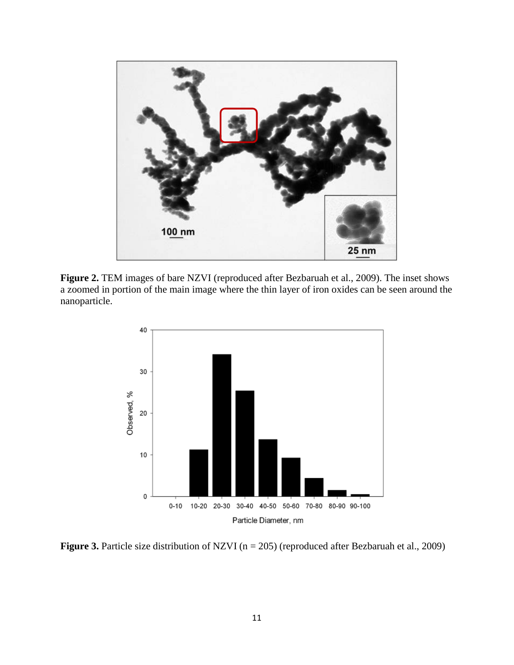

Figure 2. TEM images of bare NZVI (reproduced after Bezbaruah et al., 2009). The inset shows a zoomed in portion of the main image where the thin layer of iron oxides can be seen around the nanoparticle.



**Figure 3.** Particle size distribution of NZVI (n = 205) (reproduced after Bezbaruah et al., 2009)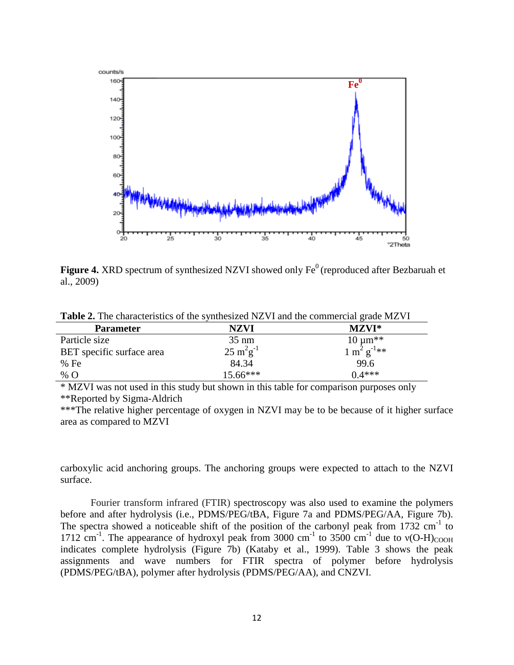

**Figure 4.** XRD spectrum of synthesized NZVI showed only Fe<sup>0</sup> (reproduced after Bezbaruah et al., 2009)

|  |  | Table 2. The characteristics of the synthesized NZVI and the commercial grade MZVI |
|--|--|------------------------------------------------------------------------------------|
|  |  |                                                                                    |

| <b>Parameter</b>          | NZVI                           | $MZVI^*$                          |
|---------------------------|--------------------------------|-----------------------------------|
| Particle size             | $35 \text{ nm}$                | $10 \mu m^{**}$                   |
| BET specific surface area | $25 \text{ m}^2 \text{g}^{-1}$ | $1 \text{ m}^2 \text{ g}^{-1}$ ** |
| % Fe                      | 84.34                          | 99.6                              |
| % O                       | $15.66***$                     | $0.4***$                          |

\* MZVI was not used in this study but shown in this table for comparison purposes only \*\*Reported by Sigma-Aldrich

\*\*\*The relative higher percentage of oxygen in NZVI may be to be because of it higher surface area as compared to MZVI

carboxylic acid anchoring groups. The anchoring groups were expected to attach to the NZVI surface.

Fourier transform infrared (FTIR) spectroscopy was also used to examine the polymers before and after hydrolysis (i.e., PDMS/PEG/tBA, Figure 7a and PDMS/PEG/AA, Figure 7b). The spectra showed a noticeable shift of the position of the carbonyl peak from  $1732 \text{ cm}^{-1}$  to 1712 cm<sup>-1</sup>. The appearance of hydroxyl peak from 3000 cm<sup>-1</sup> to 3500 cm<sup>-1</sup> due to  $v(O-H)_{COOH}$ indicates complete hydrolysis (Figure 7b) (Kataby et al., 1999). Table 3 shows the peak assignments and wave numbers for FTIR spectra of polymer before hydrolysis (PDMS/PEG/tBA), polymer after hydrolysis (PDMS/PEG/AA), and CNZVI.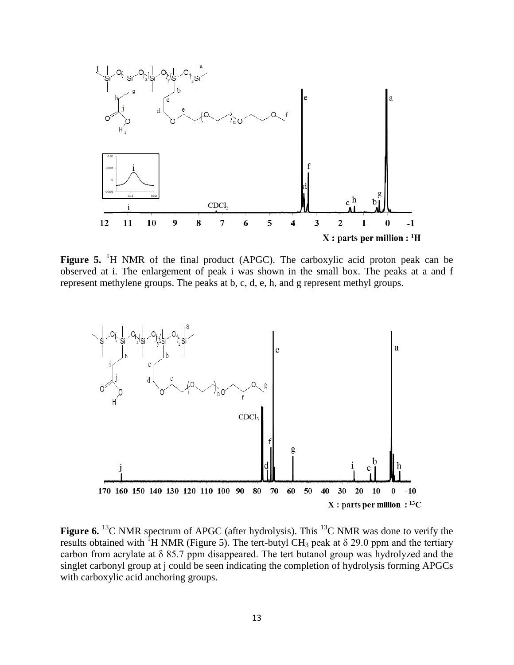

Figure 5. <sup>1</sup>H NMR of the final product (APGC). The carboxylic acid proton peak can be observed at i. The enlargement of peak i was shown in the small box. The peaks at a and f represent methylene groups. The peaks at b, c, d, e, h, and g represent methyl groups.



**Figure 6.** <sup>13</sup>C NMR spectrum of APGC (after hydrolysis). This <sup>13</sup>C NMR was done to verify the results obtained with <sup>1</sup>H NMR (Figure 5). The tert-butyl CH<sub>3</sub> peak at  $\delta$  29.0 ppm and the tertiary carbon from acrylate at δ 85.7 ppm disappeared. The tert butanol group was hydrolyzed and the singlet carbonyl group at j could be seen indicating the completion of hydrolysis forming APGCs with carboxylic acid anchoring groups.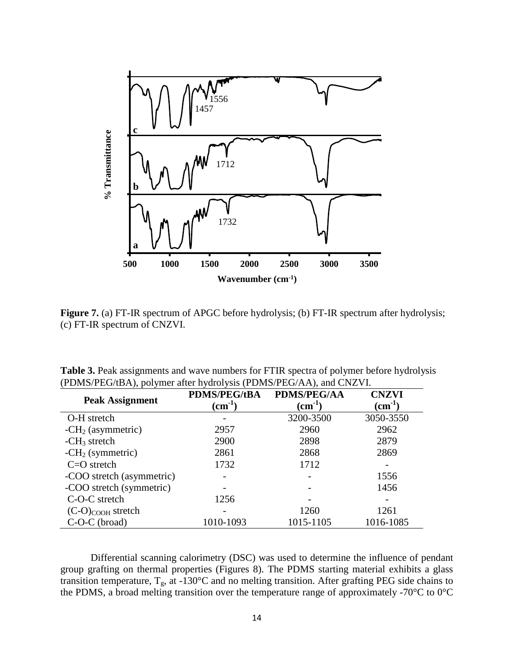

**Figure 7.** (a) FT-IR spectrum of APGC before hydrolysis; (b) FT-IR spectrum after hydrolysis; (c) FT-IR spectrum of CNZVI.

| <b>Table 3.</b> Peak assignments and wave numbers for FTIR spectra of polymer before hydrolysis |
|-------------------------------------------------------------------------------------------------|
| (PDMS/PEG/tBA), polymer after hydrolysis (PDMS/PEG/AA), and CNZVI.                              |

| <b>Peak Assignment</b>    | <b>PDMS/PEG/tBA</b><br>$\rm \left( cm^{-1}\right)$ | <b>PDMS/PEG/AA</b><br>$(cm^{-1})$ | <b>CNZVI</b><br>$\rm (cm^{-1})$ |
|---------------------------|----------------------------------------------------|-----------------------------------|---------------------------------|
| O-H stretch               |                                                    | 3200-3500                         | 3050-3550                       |
| $-CH2$ (asymmetric)       | 2957                                               | 2960                              | 2962                            |
| $-CH3$ stretch            | 2900                                               | 2898                              | 2879                            |
| $-CH2$ (symmetric)        | 2861                                               | 2868                              | 2869                            |
| $C=O$ stretch             | 1732                                               | 1712                              |                                 |
| -COO stretch (asymmetric) |                                                    |                                   | 1556                            |
| -COO stretch (symmetric)  |                                                    |                                   | 1456                            |
| C-O-C stretch             | 1256                                               |                                   |                                 |
| $(C-O)_{COOH}$ stretch    |                                                    | 1260                              | 1261                            |
| $C-O-C$ (broad)           | 1010-1093                                          | 1015-1105                         | 1016-1085                       |

Differential scanning calorimetry (DSC) was used to determine the influence of pendant group grafting on thermal properties (Figures 8). The PDMS starting material exhibits a glass transition temperature,  $T_g$ , at -130°C and no melting transition. After grafting PEG side chains to the PDMS, a broad melting transition over the temperature range of approximately -70 $\rm{°C}$  to 0 $\rm{°C}$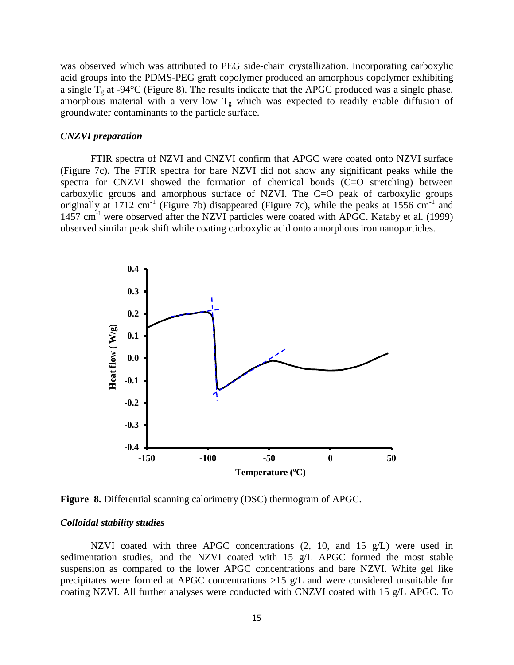was observed which was attributed to PEG side-chain crystallization. Incorporating carboxylic acid groups into the PDMS-PEG graft copolymer produced an amorphous copolymer exhibiting a single  $T_g$  at -94°C (Figure 8). The results indicate that the APGC produced was a single phase, amorphous material with a very low  $T_g$  which was expected to readily enable diffusion of groundwater contaminants to the particle surface.

# *CNZVI preparation*

FTIR spectra of NZVI and CNZVI confirm that APGC were coated onto NZVI surface (Figure 7c). The FTIR spectra for bare NZVI did not show any significant peaks while the spectra for CNZVI showed the formation of chemical bonds (C=O stretching) between carboxylic groups and amorphous surface of NZVI. The C=O peak of carboxylic groups originally at  $1712 \text{ cm}^{-1}$  (Figure 7b) disappeared (Figure 7c), while the peaks at  $1556 \text{ cm}^{-1}$  and 1457 cm<sup>-1</sup> were observed after the NZVI particles were coated with APGC. Kataby et al. (1999) observed similar peak shift while coating carboxylic acid onto amorphous iron nanoparticles.



**Figure 8.** Differential scanning calorimetry (DSC) thermogram of APGC.

### *Colloidal stability studies*

NZVI coated with three APGC concentrations  $(2, 10, \text{ and } 15 \text{ g/L})$  were used in sedimentation studies, and the NZVI coated with 15 g/L APGC formed the most stable suspension as compared to the lower APGC concentrations and bare NZVI. White gel like precipitates were formed at APGC concentrations >15 g/L and were considered unsuitable for coating NZVI. All further analyses were conducted with CNZVI coated with 15 g/L APGC. To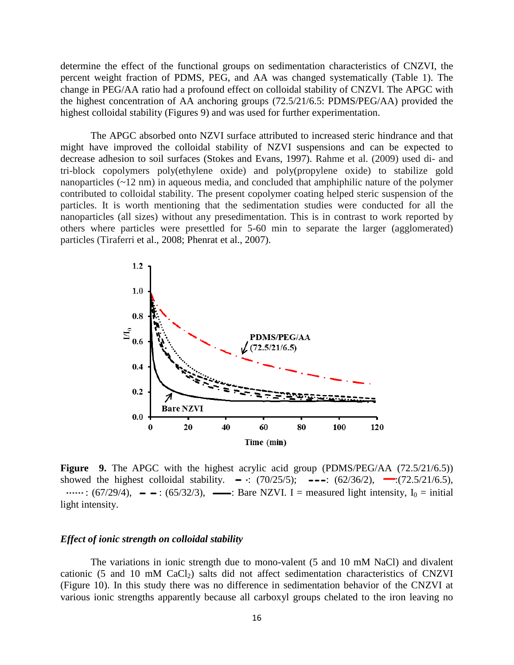determine the effect of the functional groups on sedimentation characteristics of CNZVI, the percent weight fraction of PDMS, PEG, and AA was changed systematically (Table 1). The change in PEG/AA ratio had a profound effect on colloidal stability of CNZVI. The APGC with the highest concentration of AA anchoring groups (72.5/21/6.5: PDMS/PEG/AA) provided the highest colloidal stability (Figures 9) and was used for further experimentation.

The APGC absorbed onto NZVI surface attributed to increased steric hindrance and that might have improved the colloidal stability of NZVI suspensions and can be expected to decrease adhesion to soil surfaces (Stokes and Evans, 1997). Rahme et al. (2009) used di- and tri-block copolymers poly(ethylene oxide) and poly(propylene oxide) to stabilize gold nanoparticles (~12 nm) in aqueous media, and concluded that amphiphilic nature of the polymer contributed to colloidal stability. The present copolymer coating helped steric suspension of the particles. It is worth mentioning that the sedimentation studies were conducted for all the nanoparticles (all sizes) without any presedimentation. This is in contrast to work reported by others where particles were presettled for 5-60 min to separate the larger (agglomerated) particles (Tiraferri et al., 2008; Phenrat et al., 2007).



**Figure** 9. The APGC with the highest acrylic acid group (PDMS/PEG/AA (72.5/21/6.5)) showed the highest colloidal stability.  $-\cdot$ : (70/25/5);  $\cdot$  -- $\cdot$ : (62/36/2),  $\cdot$  (72.5/21/6.5),  $\cdots$ : (67/29/4),  $\cdots$  = : (65/32/3),  $\cdots$ : Bare NZVI. I = measured light intensity, I<sub>0</sub> = initial light intensity.

## *Effect of ionic strength on colloidal stability*

The variations in ionic strength due to mono-valent (5 and 10 mM NaCl) and divalent cationic (5 and 10 mM  $CaCl<sub>2</sub>$ ) salts did not affect sedimentation characteristics of CNZVI (Figure 10). In this study there was no difference in sedimentation behavior of the CNZVI at various ionic strengths apparently because all carboxyl groups chelated to the iron leaving no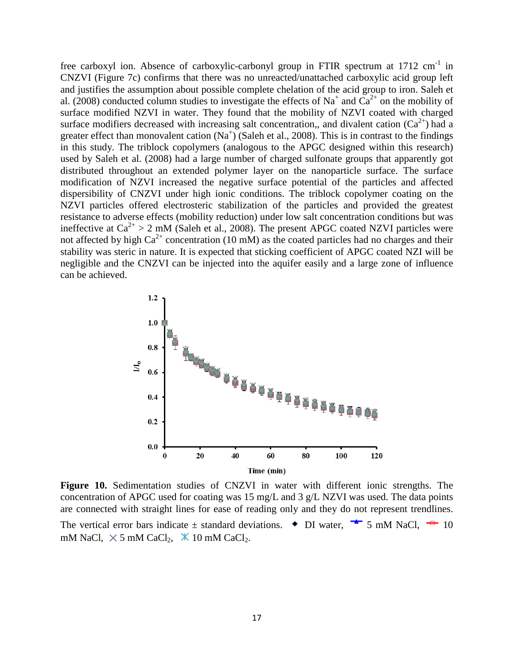free carboxyl ion. Absence of carboxylic-carbonyl group in FTIR spectrum at  $1712 \text{ cm}^{-1}$  in CNZVI (Figure 7c) confirms that there was no unreacted/unattached carboxylic acid group left and justifies the assumption about possible complete chelation of the acid group to iron. Saleh et al. (2008) conducted column studies to investigate the effects of Na<sup>+</sup> and Ca<sup>2+</sup> on the mobility of surface modified NZVI in water. They found that the mobility of NZVI coated with charged surface modifiers decreased with increasing salt concentration,, and divalent cation  $(Ca^{2+})$  had a greater effect than monovalent cation  $(Na^+)$  (Saleh et al., 2008). This is in contrast to the findings in this study. The triblock copolymers (analogous to the APGC designed within this research) used by Saleh et al. (2008) had a large number of charged sulfonate groups that apparently got distributed throughout an extended polymer layer on the nanoparticle surface. The surface modification of NZVI increased the negative surface potential of the particles and affected dispersibility of CNZVI under high ionic conditions. The triblock copolymer coating on the NZVI particles offered electrosteric stabilization of the particles and provided the greatest resistance to adverse effects (mobility reduction) under low salt concentration conditions but was ineffective at  $Ca^{2+} > 2$  mM (Saleh et al., 2008). The present APGC coated NZVI particles were not affected by high  $Ca^{2+}$  concentration (10 mM) as the coated particles had no charges and their stability was steric in nature. It is expected that sticking coefficient of APGC coated NZI will be negligible and the CNZVI can be injected into the aquifer easily and a large zone of influence can be achieved.



Figure 10. Sedimentation studies of CNZVI in water with different ionic strengths. The concentration of APGC used for coating was 15 mg/L and 3 g/L NZVI was used. The data points  are connected with straight lines for ease of reading only and they do not represent trendlines.

The vertical error bars indicate  $\pm$  standard deviations.  $\bullet$  DI water,  $\bullet$  5 mM NaCl,  $\bullet$  10 mM NaCl,  $\times$  5 mM CaCl<sub>2</sub>,  $\times$  10 mM CaCl<sub>2</sub>.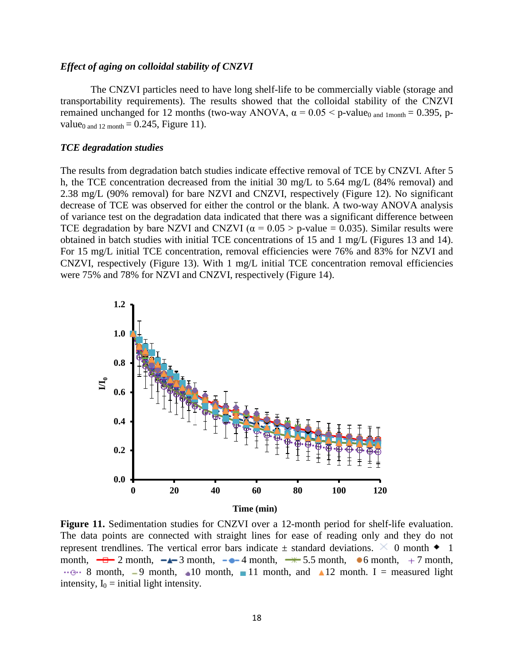# *Effect of aging on colloidal stability of CNZVI*

The CNZVI particles need to have long shelf-life to be commercially viable (storage and transportability requirements). The results showed that the colloidal stability of the CNZVI remained unchanged for 12 months (two-way ANOVA,  $\alpha = 0.05 < p$ -value<sub>0 and 1month</sub> = 0.395, pvalue<sub>0 and 12 month</sub>  $= 0.245$ , Figure 11).

### *TCE degradation studies*

The results from degradation batch studies indicate effective removal of TCE by CNZVI. After 5 h, the TCE concentration decreased from the initial 30 mg/L to 5.64 mg/L (84% removal) and 2.38 mg/L (90% removal) for bare NZVI and CNZVI, respectively (Figure 12). No significant decrease of TCE was observed for either the control or the blank. A two-way ANOVA analysis of variance test on the degradation data indicated that there was a significant difference between TCE degradation by bare NZVI and CNZVI ( $\alpha = 0.05$ ) > p-value = 0.035). Similar results were obtained in batch studies with initial TCE concentrations of 15 and 1 mg/L (Figures 13 and 14). For 15 mg/L initial TCE concentration, removal efficiencies were 76% and 83% for NZVI and CNZVI, respectively (Figure 13). With 1 mg/L initial TCE concentration removal efficiencies were 75% and 78% for NZVI and CNZVI, respectively (Figure 14).



Figure 11. Sedimentation studies for CNZVI over a 12-month period for shelf-life evaluation. The data points are connected with straight lines for ease of reading only and they do not represent trendlines. The vertical error bars indicate  $\pm$  standard deviations.  $\times$  0 month  $\bullet$  1 month,  $\leftarrow \Box$  2 month,  $\leftarrow \Box$  3 month,  $\leftarrow \Box$  4 month,  $\rightarrow \dag$  5.5 month,  $\bullet$  6 month,  $+7$  month,  $\cdot$  8 month, 9 month, 10 month, 11 month, and 12 month. I = measured light intensity,  $I_0$  = initial light intensity.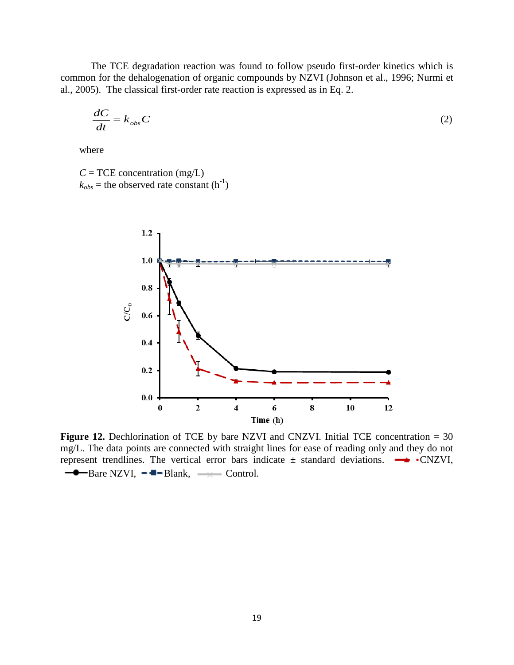The TCE degradation reaction was found to follow pseudo first-order kinetics which is common for the dehalogenation of organic compounds by NZVI (Johnson et al., 1996; Nurmi et al., 2005). The classical first-order rate reaction is expressed as in Eq. 2.

$$
\frac{dC}{dt} = k_{obs}C\tag{2}
$$

where

 $C = TCE$  concentration (mg/L)  $k_{obs}$  = the observed rate constant  $(h^{-1})$ 



Figure 12. Dechlorination of TCE by bare NZVI and CNZVI. Initial TCE concentration = 30 mg/L. The data points are connected with straight lines for ease of reading only and they do not represent trendlines. The vertical error bars indicate  $\pm$  standard deviations.  $\rightarrow$  •CNZVI,  $\rightarrow$ Bare NZVI,  $\rightarrow$ Blank,  $\rightarrow$  Control.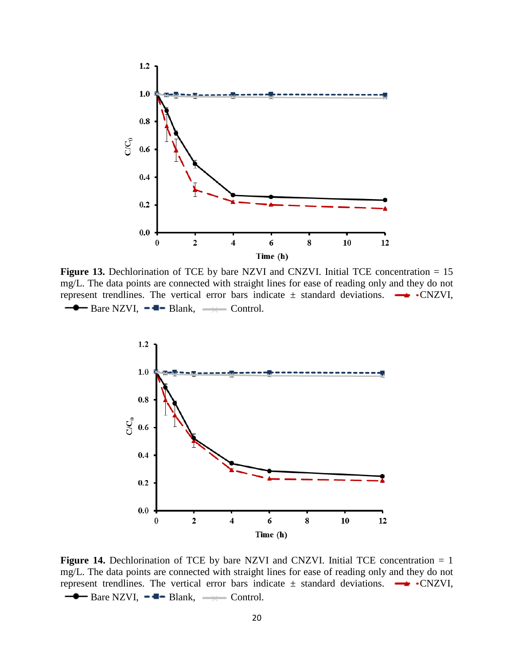

Figure 13. Dechlorination of TCE by bare NZVI and CNZVI. Initial TCE concentration = 15 mg/L. The data points are connected with straight lines for ease of reading only and they do not represent trendlines. The vertical error bars indicate  $\pm$  standard deviations.  $\rightarrow$  •CNZVI,  $\rightarrow$  Bare NZVI,  $\rightarrow$  Blank,  $\rightarrow$  Control.



**Figure 14.** Dechlorination of TCE by bare NZVI and CNZVI. Initial TCE concentration = 1 mg/L. The data points are connected with straight lines for ease of reading only and they do not represent trendlines. The vertical error bars indicate  $\pm$  standard deviations.  $\rightarrow$  •CNZVI,  $\rightarrow$  Bare NZVI,  $\rightarrow$  Blank,  $\rightarrow$  Control.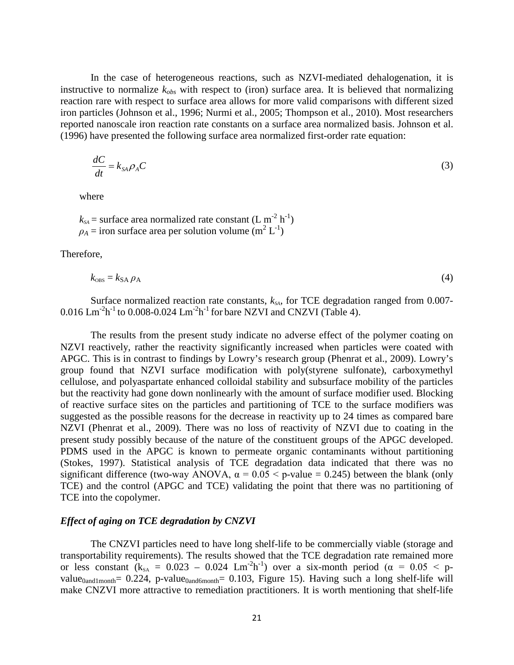In the case of heterogeneous reactions, such as NZVI-mediated dehalogenation, it is instructive to normalize  $k_{obs}$  with respect to (iron) surface area. It is believed that normalizing reaction rare with respect to surface area allows for more valid comparisons with different sized iron particles (Johnson et al., 1996; Nurmi et al., 2005; Thompson et al., 2010). Most researchers reported nanoscale iron reaction rate constants on a surface area normalized basis. Johnson et al. (1996) have presented the following surface area normalized first-order rate equation:

$$
\frac{dC}{dt} = k_{SA} \rho_A C \tag{3}
$$

where

 $k_{SA}$  = surface area normalized rate constant (L m<sup>-2</sup> h<sup>-1</sup>)  $\rho_A$  = iron surface area per solution volume (m<sup>2</sup> L<sup>-1</sup>)

Therefore,

$$
k_{\text{obs}} = k_{\text{SA}} \rho_{\text{A}}
$$

Surface normalized reaction rate constants,  $k_{SA}$ , for TCE degradation ranged from 0.007- $0.016$  Lm<sup>-2</sup>h<sup>-1</sup> to  $0.008$ -0.024 Lm<sup>-2</sup>h<sup>-1</sup> for bare NZVI and CNZVI (Table 4).

The results from the present study indicate no adverse effect of the polymer coating on NZVI reactively, rather the reactivity significantly increased when particles were coated with APGC. This is in contrast to findings by Lowry's research group (Phenrat et al., 2009). Lowry's group found that NZVI surface modification with poly(styrene sulfonate), carboxymethyl cellulose, and polyaspartate enhanced colloidal stability and subsurface mobility of the particles but the reactivity had gone down nonlinearly with the amount of surface modifier used. Blocking of reactive surface sites on the particles and partitioning of TCE to the surface modifiers was suggested as the possible reasons for the decrease in reactivity up to 24 times as compared bare NZVI (Phenrat et al., 2009). There was no loss of reactivity of NZVI due to coating in the present study possibly because of the nature of the constituent groups of the APGC developed. PDMS used in the APGC is known to permeate organic contaminants without partitioning (Stokes, 1997). Statistical analysis of TCE degradation data indicated that there was no significant difference (two-way ANOVA,  $\alpha = 0.05 <$  p-value = 0.245) between the blank (only TCE) and the control (APGC and TCE) validating the point that there was no partitioning of TCE into the copolymer.

#### *Effect of aging on TCE degradation by CNZVI*

The CNZVI particles need to have long shelf-life to be commercially viable (storage and transportability requirements). The results showed that the TCE degradation rate remained more or less constant  $(k_{SA} = 0.023 - 0.024$  Lm<sup>-2</sup>h<sup>-1</sup>) over a six-month period ( $\alpha = 0.05 < p$ value<sub>0and1month</sub>= 0.224, p-value<sub>0and6month</sub>= 0.103, Figure 15). Having such a long shelf-life will make CNZVI more attractive to remediation practitioners. It is worth mentioning that shelf-life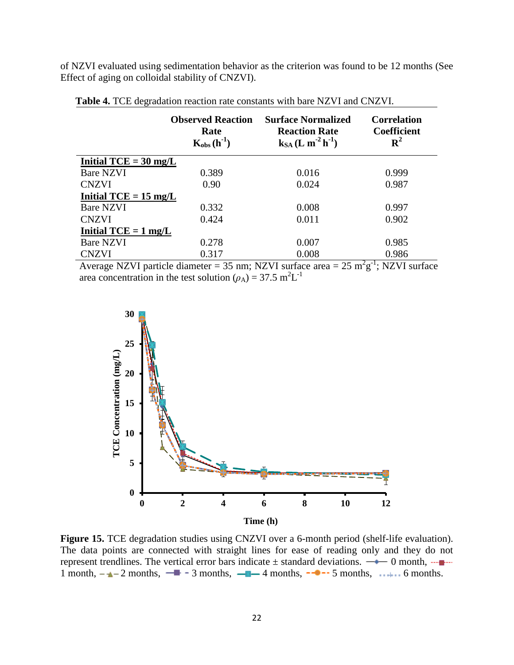of NZVI evaluated using sedimentation behavior as the criterion was found to be 12 months (See Effect of aging on colloidal stability of CNZVI).

|                                 | <b>Observed Reaction</b><br>Rate<br>$K_{obs}(h^{-1})$ | <b>Surface Normalized</b><br><b>Reaction Rate</b><br>$k_{SA}$ (L m <sup>-2</sup> h <sup>-1</sup> ) | <b>Correlation</b><br><b>Coefficient</b><br>${\bf R}^2$ |
|---------------------------------|-------------------------------------------------------|----------------------------------------------------------------------------------------------------|---------------------------------------------------------|
| Initial $TCE = 30$ mg/L         |                                                       |                                                                                                    |                                                         |
| <b>Bare NZVI</b>                | 0.389                                                 | 0.016                                                                                              | 0.999                                                   |
| <b>CNZVI</b>                    | 0.90                                                  | 0.024                                                                                              | 0.987                                                   |
| Initial TCE = $15 \text{ mg/L}$ |                                                       |                                                                                                    |                                                         |
| Bare NZVI                       | 0.332                                                 | 0.008                                                                                              | 0.997                                                   |
| <b>CNZVI</b>                    | 0.424                                                 | 0.011                                                                                              | 0.902                                                   |
| Initial $TCE = 1$ mg/L          |                                                       |                                                                                                    |                                                         |
| Bare NZVI                       | 0.278                                                 | 0.007                                                                                              | 0.985                                                   |
| <b>CNZVI</b>                    | 0.317                                                 | 0.008                                                                                              | 0.986                                                   |

 **Table 4.** TCE degradation reaction rate constants with bare NZVI and CNZVI.

Average NZVI particle diameter =  $35$  nm; NZVI surface area =  $25 \text{ m}^2 \text{g}^{-1}$ ; NZVI surface area concentration in the test solution ( $\rho_A$ ) = 37.5 m<sup>2</sup>L<sup>-1</sup>



**Figure 15.** TCE degradation studies using CNZVI over a 6-month period (shelf-life evaluation). The data points are connected with straight lines for ease of reading only and they do not represent trendlines. The vertical error bars indicate  $\pm$  standard deviations.  $\rightarrow 0$  month,  $\rightarrow \rightarrow \rightarrow$ 1 month,  $-\rightarrow -2$  months,  $-\rightarrow -3$  months,  $-\rightarrow -4$  months,  $-\rightarrow -5$  months,  $\rightarrow -6$  months.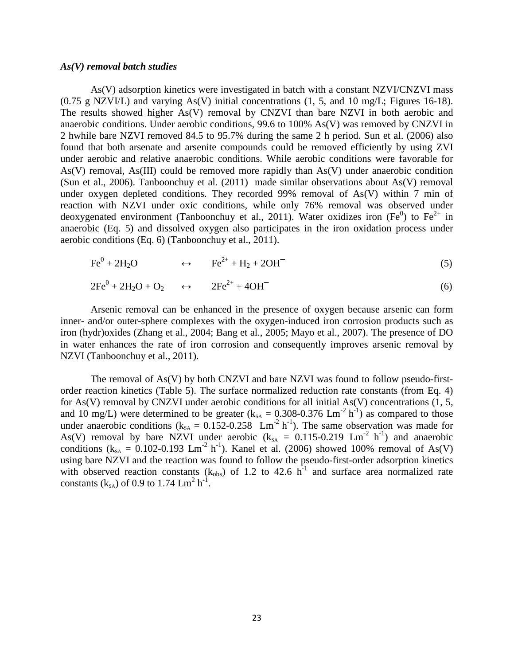#### *As(V) removal batch studies*

As(V) adsorption kinetics were investigated in batch with a constant NZVI/CNZVI mass  $(0.75 \text{ g } NZVIL)$  and varying As(V) initial concentrations  $(1, 5, \text{ and } 10 \text{ mg/L};$  Figures 16-18). The results showed higher As(V) removal by CNZVI than bare NZVI in both aerobic and anaerobic conditions. Under aerobic conditions, 99.6 to 100% As(V) was removed by CNZVI in 2 hwhile bare NZVI removed 84.5 to 95.7% during the same 2 h period. Sun et al. (2006) also found that both arsenate and arsenite compounds could be removed efficiently by using ZVI under aerobic and relative anaerobic conditions. While aerobic conditions were favorable for As(V) removal, As(III) could be removed more rapidly than As(V) under anaerobic condition (Sun et al., 2006). Tanboonchuy et al. (2011) made similar observations about As(V) removal under oxygen depleted conditions. They recorded 99% removal of As(V) within 7 min of reaction with NZVI under oxic conditions, while only 76% removal was observed under deoxygenated environment (Tanboonchuy et al., 2011). Water oxidizes iron (Fe<sup>0</sup>) to Fe<sup>2+</sup> in anaerobic (Eq. 5) and dissolved oxygen also participates in the iron oxidation process under aerobic conditions (Eq. 6) (Tanboonchuy et al., 2011).

$$
\text{Fe}^0 + 2\text{H}_2\text{O} \qquad \qquad \leftrightarrow \qquad \text{Fe}^{2+} + \text{H}_2 + 2\text{OH}^- \tag{5}
$$

$$
2\text{Fe}^0 + 2\text{H}_2\text{O} + \text{O}_2 \qquad \leftrightarrow \qquad 2\text{Fe}^{2+} + 4\text{OH}^- \tag{6}
$$

Arsenic removal can be enhanced in the presence of oxygen because arsenic can form inner- and/or outer-sphere complexes with the oxygen-induced iron corrosion products such as iron (hydr)oxides (Zhang et al., 2004; Bang et al., 2005; Mayo et al., 2007). The presence of DO in water enhances the rate of iron corrosion and consequently improves arsenic removal by NZVI (Tanboonchuy et al., 2011).

The removal of As(V) by both CNZVI and bare NZVI was found to follow pseudo-firstorder reaction kinetics (Table 5). The surface normalized reduction rate constants (from Eq. 4) for As(V) removal by CNZVI under aerobic conditions for all initial As(V) concentrations (1, 5, and 10 mg/L) were determined to be greater ( $k_{SA} = 0.308{\text -}0.376$  Lm<sup>-2</sup> h<sup>-1</sup>) as compared to those under anaerobic conditions ( $k_{SA} = 0.152 - 0.258$  Lm<sup>-2</sup> h<sup>-1</sup>). The same observation was made for As(V) removal by bare NZVI under aerobic  $(k_{SA} = 0.115{\text -}0.219 \text{ Lm}^{-2} \text{ h}^{-1})$  and anaerobic conditions ( $k_{SA} = 0.102 - 0.193$  Lm<sup>-2</sup> h<sup>-1</sup>). Kanel et al. (2006) showed 100% removal of As(V) using bare NZVI and the reaction was found to follow the pseudo-first-order adsorption kinetics with observed reaction constants  $(k_{obs})$  of 1.2 to 42.6 h<sup>-1</sup> and surface area normalized rate constants ( $k_{SA}$ ) of 0.9 to 1.74  $Lm^2 h^{-1}$ .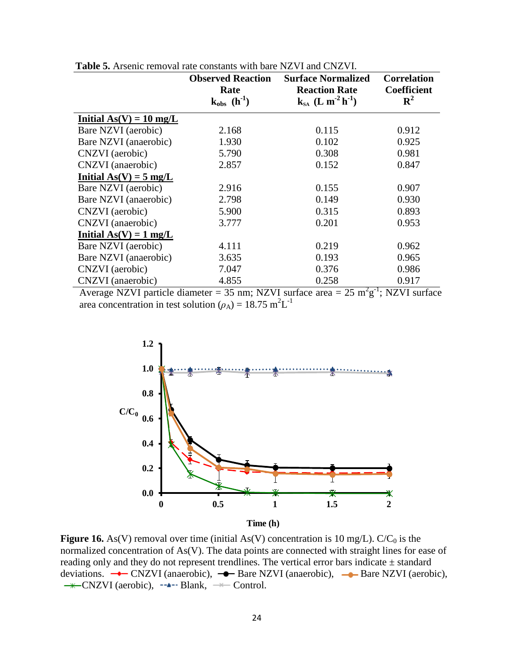|                           | <b>Observed Reaction</b><br>Rate<br>$k_{obs}$ (h <sup>-1</sup> ) | <b>Surface Normalized</b><br><b>Reaction Rate</b><br>$k_{sA}$ (L m <sup>-2</sup> h <sup>-1</sup> ) | <b>Correlation</b><br><b>Coefficient</b><br>${\bf R}^2$ |
|---------------------------|------------------------------------------------------------------|----------------------------------------------------------------------------------------------------|---------------------------------------------------------|
|                           |                                                                  |                                                                                                    |                                                         |
| Initial $As(V) = 10$ mg/L |                                                                  |                                                                                                    |                                                         |
| Bare NZVI (aerobic)       | 2.168                                                            | 0.115                                                                                              | 0.912                                                   |
| Bare NZVI (anaerobic)     | 1.930                                                            | 0.102                                                                                              | 0.925                                                   |
| CNZVI (aerobic)           | 5.790                                                            | 0.308                                                                                              | 0.981                                                   |
| CNZVI (anaerobic)         | 2.857                                                            | 0.152                                                                                              | 0.847                                                   |
| Initial $As(V) = 5$ mg/L  |                                                                  |                                                                                                    |                                                         |
| Bare NZVI (aerobic)       | 2.916                                                            | 0.155                                                                                              | 0.907                                                   |
| Bare NZVI (anaerobic)     | 2.798                                                            | 0.149                                                                                              | 0.930                                                   |
| CNZVI (aerobic)           | 5.900                                                            | 0.315                                                                                              | 0.893                                                   |
| CNZVI (anaerobic)         | 3.777                                                            | 0.201                                                                                              | 0.953                                                   |
| Initial $As(V) = 1 mg/L$  |                                                                  |                                                                                                    |                                                         |
| Bare NZVI (aerobic)       | 4.111                                                            | 0.219                                                                                              | 0.962                                                   |
| Bare NZVI (anaerobic)     | 3.635                                                            | 0.193                                                                                              | 0.965                                                   |
| CNZVI (aerobic)           | 7.047                                                            | 0.376                                                                                              | 0.986                                                   |
| CNZVI (anaerobic)         | 4.855                                                            | 0.258                                                                                              | 0.917                                                   |

 **Table 5.** Arsenic removal rate constants with bare NZVI and CNZVI.

Average NZVI particle diameter = 35 nm; NZVI surface area =  $25 \text{ m}^2 \text{g}^{-1}$ ; NZVI surface area concentration in test solution ( $\rho_A$ ) = 18.75 m<sup>2</sup>L<sup>-1</sup>



**Figure 16.** As(V) removal over time (initial As(V) concentration is 10 mg/L). C/C<sub>0</sub> is the normalized concentration of As(V). The data points are connected with straight lines for ease of reading only and they do not represent trendlines. The vertical error bars indicate  $\pm$  standard deviations.  $\rightarrow$  CNZVI (anaerobic),  $\rightarrow$  Bare NZVI (anaerobic),  $\rightarrow$  Bare NZVI (aerobic),  $\rightarrow$ CNZVI (aerobic),  $\rightarrow$ -Blank,  $\rightarrow$ Control.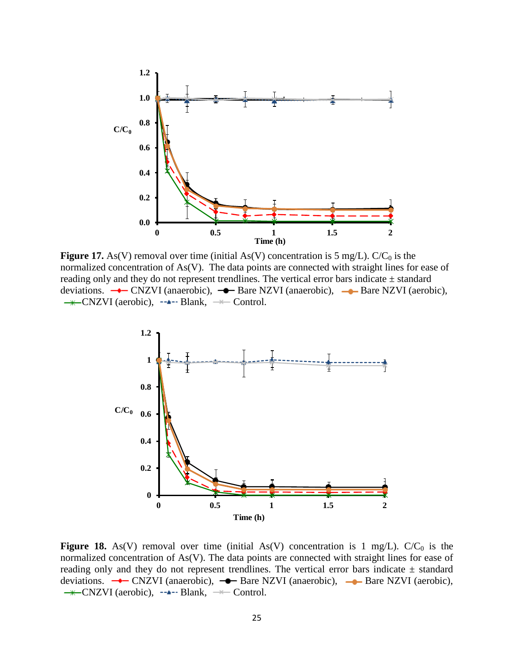

**Figure 17.** As(V) removal over time (initial As(V) concentration is 5 mg/L).  $C/C_0$  is the normalized concentration of As(V). The data points are connected with straight lines for ease of reading only and they do not represent trendlines. The vertical error bars indicate  $\pm$  standard deviations.  $\rightarrow$  CNZVI (anaerobic),  $\rightarrow$  Bare NZVI (anaerobic),  $\rightarrow$  Bare NZVI (aerobic),  $\rightarrow$ CNZVI (aerobic),  $\rightarrow$ -Blank,  $\rightarrow$ Control.



**Figure 18.** As(V) removal over time (initial As(V) concentration is 1 mg/L).  $C/C<sub>0</sub>$  is the normalized concentration of As(V). The data points are connected with straight lines for ease of reading only and they do not represent trendlines. The vertical error bars indicate  $\pm$  standard deviations.  $\rightarrow$  CNZVI (anaerobic),  $\rightarrow$  Bare NZVI (anaerobic),  $\rightarrow$  Bare NZVI (aerobic),  $\rightarrow$ CNZVI (aerobic),  $\rightarrow$ -Blank,  $\rightarrow$ Control.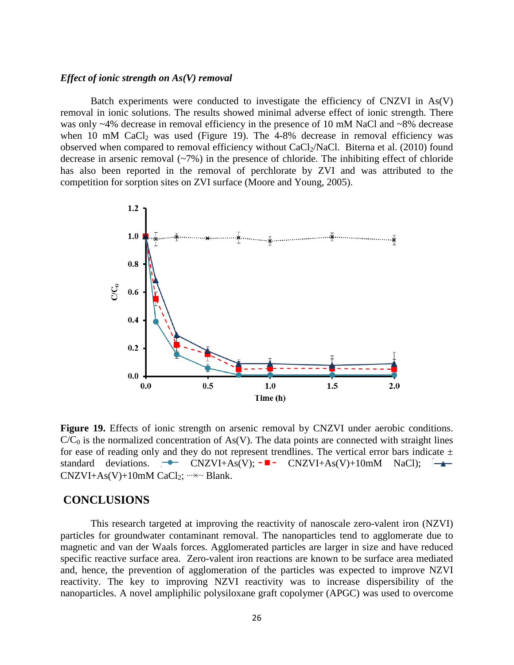### *Effect of ionic strength on As(V) removal*

Batch experiments were conducted to investigate the efficiency of CNZVI in As(V) removal in ionic solutions. The results showed minimal adverse effect of ionic strength. There was only ~4% decrease in removal efficiency in the presence of 10 mM NaCl and ~8% decrease when 10 mM CaCl<sub>2</sub> was used (Figure 19). The 4-8% decrease in removal efficiency was observed when compared to removal efficiency without CaCl<sub>2</sub>/NaCl. Biterna et al. (2010) found decrease in arsenic removal  $(\sim 7\%)$  in the presence of chloride. The inhibiting effect of chloride has also been reported in the removal of perchlorate by ZVI and was attributed to the competition for sorption sites on ZVI surface (Moore and Young, 2005).



Figure 19. Effects of ionic strength on arsenic removal by CNZVI under aerobic conditions.  $C/C<sub>0</sub>$  is the normalized concentration of As(V). The data points are connected with straight lines for ease of reading only and they do not represent trendlines. The vertical error bars indicate  $\pm$ standard deviations.  $\rightarrow$  CNZVI+As(V);  $\rightarrow$  CNZVI+As(V)+10mM NaCl);  $\rightarrow$  $CNZVI+As(V)+10mM CaCl<sub>2</sub>;$  ...... Blank.

# **CONCLUSIONS**

This research targeted at improving the reactivity of nanoscale zero-valent iron (NZVI) particles for groundwater contaminant removal. The nanoparticles tend to agglomerate due to magnetic and van der Waals forces. Agglomerated particles are larger in size and have reduced specific reactive surface area. Zero-valent iron reactions are known to be surface area mediated and, hence, the prevention of agglomeration of the particles was expected to improve NZVI reactivity. The key to improving NZVI reactivity was to increase dispersibility of the nanoparticles. A novel ampliphilic polysiloxane graft copolymer (APGC) was used to overcome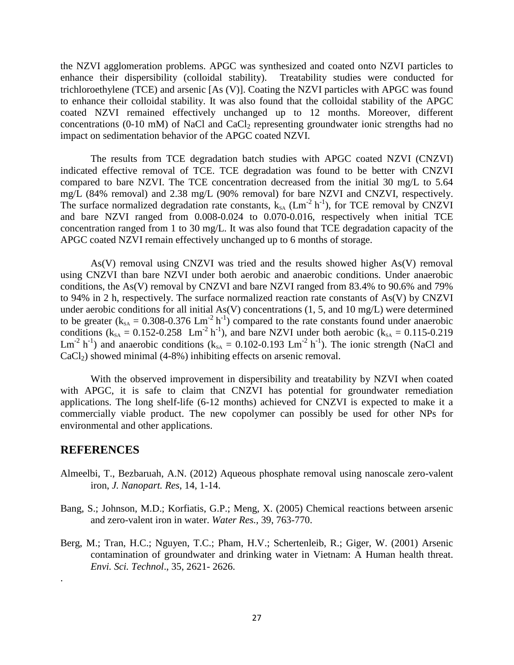the NZVI agglomeration problems. APGC was synthesized and coated onto NZVI particles to enhance their dispersibility (colloidal stability). Treatability studies were conducted for trichloroethylene (TCE) and arsenic [As (V)]. Coating the NZVI particles with APGC was found to enhance their colloidal stability. It was also found that the colloidal stability of the APGC coated NZVI remained effectively unchanged up to 12 months. Moreover, different concentrations (0-10 mM) of NaCl and CaCl<sub>2</sub> representing groundwater ionic strengths had no impact on sedimentation behavior of the APGC coated NZVI.

The results from TCE degradation batch studies with APGC coated NZVI (CNZVI) indicated effective removal of TCE. TCE degradation was found to be better with CNZVI compared to bare NZVI. The TCE concentration decreased from the initial 30 mg/L to 5.64 mg/L (84% removal) and 2.38 mg/L (90% removal) for bare NZVI and CNZVI, respectively. The surface normalized degradation rate constants,  $k_{SA}$  (Lm<sup>-2</sup> h<sup>-1</sup>), for TCE removal by CNZVI and bare NZVI ranged from 0.008-0.024 to 0.070-0.016, respectively when initial TCE concentration ranged from 1 to 30 mg/L. It was also found that TCE degradation capacity of the APGC coated NZVI remain effectively unchanged up to 6 months of storage.

As(V) removal using CNZVI was tried and the results showed higher As(V) removal using CNZVI than bare NZVI under both aerobic and anaerobic conditions. Under anaerobic conditions, the As(V) removal by CNZVI and bare NZVI ranged from 83.4% to 90.6% and 79% to 94% in 2 h, respectively. The surface normalized reaction rate constants of As(V) by CNZVI under aerobic conditions for all initial  $As(V)$  concentrations  $(1, 5, and 10$  mg/L) were determined to be greater ( $k_{SA} = 0.308 - 0.376$  Lm<sup>-2</sup> h<sup>-1</sup>) compared to the rate constants found under anaerobic conditions ( $k_{SA} = 0.152 - 0.258$  Lm<sup>-2</sup> h<sup>-1</sup>), and bare NZVI under both aerobic ( $k_{SA} = 0.115 - 0.219$ Lm<sup>-2</sup> h<sup>-1</sup>) and anaerobic conditions ( $k_{SA} = 0.102$ -0.193 Lm<sup>-2</sup> h<sup>-1</sup>). The ionic strength (NaCl and  $CaCl<sub>2</sub>$ ) showed minimal (4-8%) inhibiting effects on arsenic removal.

With the observed improvement in dispersibility and treatability by NZVI when coated with APGC, it is safe to claim that CNZVI has potential for groundwater remediation applications. The long shelf-life (6-12 months) achieved for CNZVI is expected to make it a commercially viable product. The new copolymer can possibly be used for other NPs for environmental and other applications.

# **REFERENCES**

.

- Almeelbi, T., Bezbaruah, A.N. (2012) Aqueous phosphate removal using nanoscale zero-valent iron, *J. Nanopart. Res*, 14, 1-14.
- Bang, S.; Johnson, M.D.; Korfiatis, G.P.; Meng, X. (2005) Chemical reactions between arsenic and zero-valent iron in water. *Water Res.,* 39, 763-770.
- Berg, M.; Tran, H.C.; Nguyen, T.C.; Pham, H.V.; Schertenleib, R.; Giger, W. (2001) Arsenic contamination of groundwater and drinking water in Vietnam: A Human health threat. *Envi. Sci. Technol*., 35, 2621- 2626.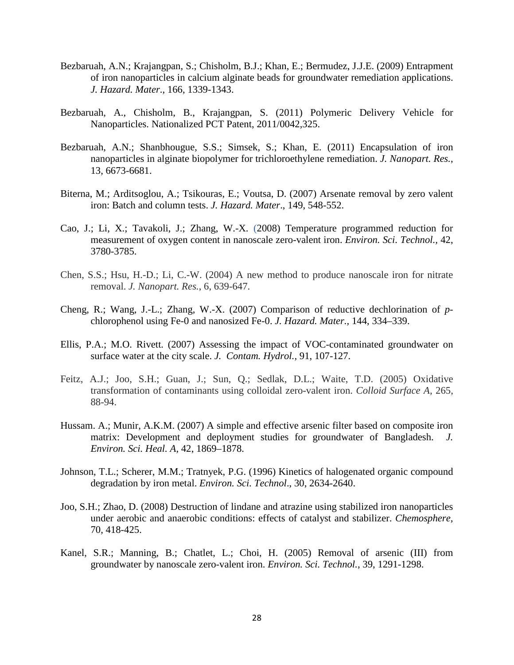- Bezbaruah, A.N.; Krajangpan, S.; Chisholm, B.J.; Khan, E.; Bermudez, J.J.E. (2009) Entrapment of iron nanoparticles in calcium alginate beads for groundwater remediation applications. *J. Hazard. Mater*., 166, 1339-1343.
- Bezbaruah, A., Chisholm, B., Krajangpan, S. (2011) Polymeric Delivery Vehicle for Nanoparticles. Nationalized PCT Patent, 2011/0042,325.
- Bezbaruah, A.N.; Shanbhougue, S.S.; Simsek, S.; Khan, E. (2011) Encapsulation of iron nanoparticles in alginate biopolymer for trichloroethylene remediation. *J. Nanopart. Res.*, 13, 6673-6681.
- Biterna, M.; Arditsoglou, A.; Tsikouras, E.; Voutsa, D. (2007) Arsenate removal by zero valent iron: Batch and column tests. *J. Hazard. Mater*., 149, 548-552.
- Cao, J.; Li, X.; Tavakoli, J.; Zhang, W.-X. (2008) Temperature programmed reduction for measurement of oxygen content in nanoscale zero-valent iron. *Environ. Sci. Technol.,* 42, 3780-3785.
- Chen, S.S.; Hsu, H.-D.; Li, C.-W. (2004) A new method to produce nanoscale iron for nitrate removal. *J. Nanopart. Res.*, 6, 639-647.
- Cheng, R.; Wang, J.-L.; Zhang, W.-X. (2007) Comparison of reductive dechlorination of *p*chlorophenol using Fe-0 and nanosized Fe-0. *J. Hazard. Mater.,* 144, 334–339.
- Ellis, P.A.; M.O. Rivett. (2007) Assessing the impact of VOC-contaminated groundwater on surface water at the city scale. *J. Contam. Hydrol.,* 91, 107-127.
- Feitz, A.J.; Joo, S.H.; Guan, J.; Sun, Q.; Sedlak, D.L.; Waite, T.D. (2005) Oxidative transformation of contaminants using colloidal zero-valent iron. *Colloid Surface A,* 265, 88-94.
- Hussam. A.; Munir, A.K.M. (2007) A simple and effective arsenic filter based on composite iron matrix: Development and deployment studies for groundwater of Bangladesh. *J. Environ. Sci. Heal. A,* 42, 1869–1878.
- Johnson, T.L.; Scherer, M.M.; Tratnyek, P.G. (1996) Kinetics of halogenated organic compound degradation by iron metal. *Environ. Sci. Technol*., 30, 2634-2640.
- Joo, S.H.; Zhao, D. (2008) Destruction of lindane and atrazine using stabilized iron nanoparticles under aerobic and anaerobic conditions: effects of catalyst and stabilizer. *Chemosphere,* 70, 418-425.
- Kanel, S.R.; Manning, B.; Chatlet, L.; Choi, H. (2005) Removal of arsenic (III) from groundwater by nanoscale zero-valent iron. *Environ. Sci. Technol.*, 39, 1291-1298.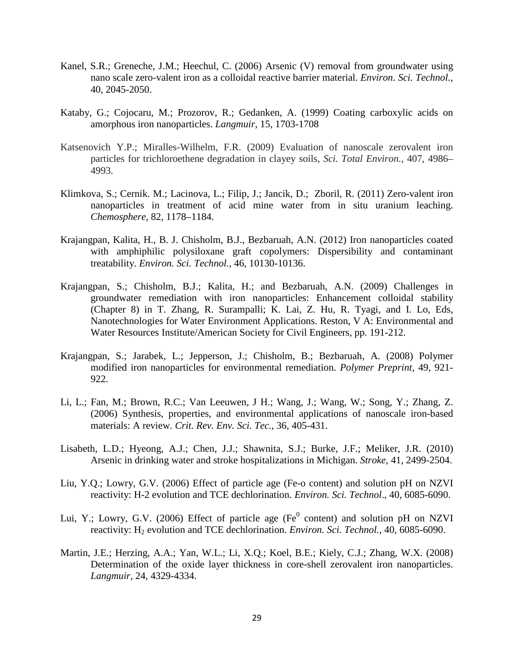- Kanel, S.R.; Greneche, J.M.; Heechul, C. (2006) Arsenic (V) removal from groundwater using nano scale zero-valent iron as a colloidal reactive barrier material. *Environ. Sci. Technol.*, 40, 2045-2050.
- Kataby, G.; Cojocaru, M.; Prozorov, R.; Gedanken, A. (1999) Coating carboxylic acids on amorphous iron nanoparticles. *Langmuir,* 15, 1703-1708
- Katsenovich Y.P.; Miralles-Wilhelm, F.R. (2009) Evaluation of nanoscale zerovalent iron particles for trichloroethene degradation in clayey soils, *Sci. Total Environ.*, 407, 4986– 4993.
- Klimkova, S.; Cernik. M.; Lacinova, L.; Filip, J.; Jancik, D.; Zboril, R. (2011) Zero-valent iron nanoparticles in treatment of acid mine water from in situ uranium leaching. *Chemosphere,* 82, 1178–1184.
- Krajangpan, Kalita, H., B. J. Chisholm, B.J., Bezbaruah, A.N. (2012) [Iron nanoparticles coated](http://pubs.acs.org/doi/abs/10.1021/es3000239?prevSearch=%255BContrib%253A%2BBezbaruah%255D&searchHistoryKey=)  with amphiphilic polysiloxane graft copolymers: Dispersibility and contaminant [treatability.](http://pubs.acs.org/doi/abs/10.1021/es3000239?prevSearch=%255BContrib%253A%2BBezbaruah%255D&searchHistoryKey=) *Environ. Sci. Technol.*, 46, 10130-10136.
- Krajangpan, S.; Chisholm, B.J.; Kalita, H.; and Bezbaruah, A.N. (2009) Challenges in groundwater remediation with iron nanoparticles: Enhancement colloidal stability (Chapter 8) in T. Zhang, R. Surampalli; K. Lai, Z. Hu, R. Tyagi, and I. Lo, Eds, Nanotechnologies for Water Environment Applications. Reston, V A: Environmental and Water Resources Institute/American Society for Civil Engineers, pp. 191-212.
- Krajangpan, S.; Jarabek, L.; Jepperson, J.; Chisholm, B.; Bezbaruah, A. (2008) Polymer modified iron nanoparticles for environmental remediation. *Polymer Preprint,* 49, 921- 922.
- Li, L.; Fan, M.; Brown, R.C.; Van Leeuwen, J H.; Wang, J.; Wang, W.; Song, Y.; Zhang, Z. (2006) Synthesis, properties, and environmental applications of nanoscale iron-based materials: A review*. Crit. Rev. Env. Sci. Tec.,* 36, 405-431.
- Lisabeth, L.D.; Hyeong, A.J.; Chen, J.J.; Shawnita, S.J.; Burke, J.F.; Meliker, J.R. (2010) Arsenic in drinking water and stroke hospitalizations in Michigan. *Stroke,* 41, 2499-2504.
- Liu, Y.Q.; Lowry, G.V. (2006) Effect of particle age (Fe-o content) and solution pH on NZVI reactivity: H-2 evolution and TCE dechlorination. *Environ. Sci. Technol*., 40, 6085-6090.
- Lui, Y.; Lowry, G.V. (2006) Effect of particle age ( $Fe<sup>0</sup>$  content) and solution pH on NZVI reactivity: H<sub>2</sub> evolution and TCE dechlorination. *Environ. Sci. Technol.*, 40, 6085-6090.
- Martin, J.E.; Herzing, A.A.; Yan, W.L.; Li, X.Q.; Koel, B.E.; Kiely, C.J.; Zhang, W.X. (2008) Determination of the oxide layer thickness in core-shell zerovalent iron nanoparticles. *Langmuir,* 24, 4329-4334.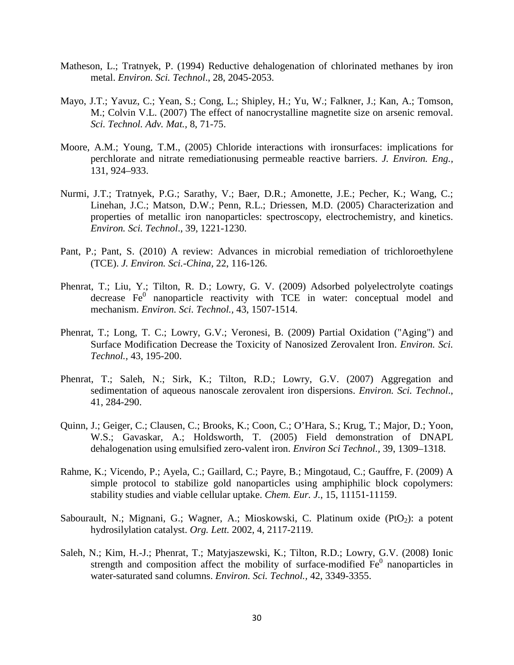- Matheson, L.; Tratnyek, P. (1994) Reductive dehalogenation of chlorinated methanes by iron metal. *Environ. Sci. Technol*., 28, 2045-2053.
- Mayo, J.T.; Yavuz, C.; Yean, S.; Cong, L.; Shipley, H.; Yu, W.; Falkner, J.; Kan, A.; Tomson, M.; Colvin V.L. (2007) The effect of nanocrystalline magnetite size on arsenic removal. *Sci. Technol. Adv. Mat.,* 8, 71-75.
- Moore, A.M.; Young, T.M., (2005) Chloride interactions with ironsurfaces: implications for perchlorate and nitrate remediationusing permeable reactive barriers. *J. Environ. Eng.,* 131, 924–933.
- Nurmi, J.T.; Tratnyek, P.G.; Sarathy, V.; Baer, D.R.; Amonette, J.E.; Pecher, K.; Wang, C.; Linehan, J.C.; Matson, D.W.; Penn, R.L.; Driessen, M.D. (2005) Characterization and properties of metallic iron nanoparticles: spectroscopy, electrochemistry, and kinetics. *Environ. Sci. Technol*., 39, 1221-1230.
- Pant, P.; Pant, S. (2010) A review: Advances in microbial remediation of trichloroethylene (TCE). *J. Environ. Sci.-China,* 22, 116-126.
- Phenrat, T.; Liu, Y.; Tilton, R. D.; Lowry, G. V. (2009) Adsorbed polyelectrolyte coatings  $\alpha$  decrease  $Fe<sup>0</sup>$  nanoparticle reactivity with TCE in water: conceptual model and mechanism. *Environ. Sci. Technol.,* 43, 1507-1514.
- Phenrat, T.; Long, T. C.; Lowry, G.V.; Veronesi, B. (2009) Partial Oxidation ("Aging") and Surface Modification Decrease the Toxicity of Nanosized Zerovalent Iron. *Environ. Sci. Technol.,* 43, 195-200.
- Phenrat, T.; Saleh, N.; Sirk, K.; Tilton, R.D.; Lowry, G.V. (2007) Aggregation and sedimentation of aqueous nanoscale zerovalent iron dispersions. *Environ. Sci. Technol*., 41, 284-290.
- Quinn, J.; Geiger, C.; Clausen, C.; Brooks, K.; Coon, C.; O'Hara, S.; Krug, T.; Major, D.; Yoon, W.S.; Gavaskar, A.; Holdsworth, T. (2005) Field demonstration of DNAPL dehalogenation using emulsified zero-valent iron. *Environ Sci Technol.,* 39, 1309–1318.
- Rahme, K.; Vicendo, P.; Ayela, C.; Gaillard, C.; Payre, B.; Mingotaud, C.; Gauffre, F. (2009) A simple protocol to stabilize gold nanoparticles using amphiphilic block copolymers: stability studies and viable cellular uptake. *Chem. Eur. J.*, 15, 11151-11159.
- Sabourault, N.; Mignani, G.; Wagner, A.; Mioskowski, C. Platinum oxide  $(PtO<sub>2</sub>)$ : a potent hydrosilylation catalyst. *Org. Lett.* 2002, 4, 2117-2119.
- Saleh, N.; Kim, H.-J.; Phenrat, T.; Matyjaszewski, K.; Tilton, R.D.; Lowry, G.V. (2008) Ionic strength and composition affect the mobility of surface-modified  $Fe<sup>0</sup>$  nanoparticles in water-saturated sand columns. *Environ. Sci. Technol.,* 42, 3349-3355.